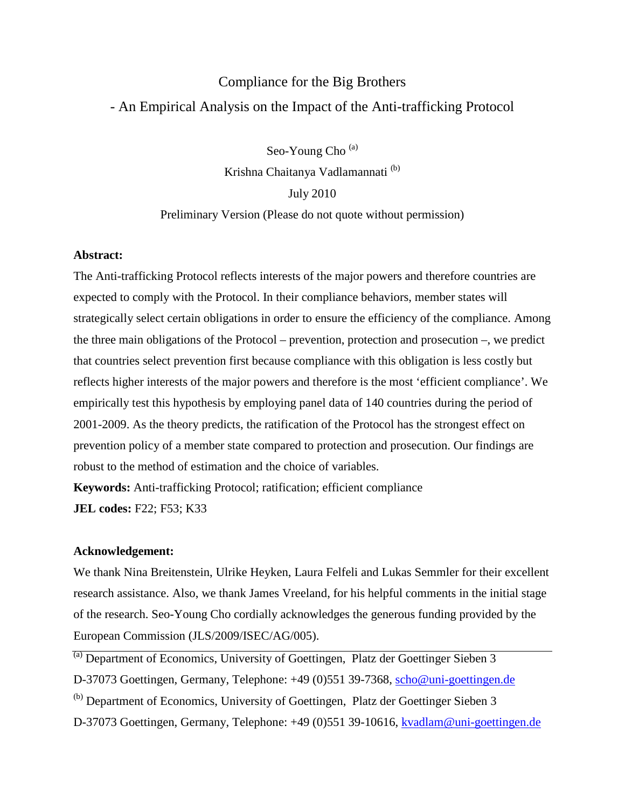# Compliance for the Big Brothers - An Empirical Analysis on the Impact of the Anti-trafficking Protocol

Seo-Young Cho<sup>(a)</sup> Krishna Chaitanya Vadlamannati<sup>(b)</sup> July 2010 Preliminary Version (Please do not quote without permission)

### **Abstract:**

The Anti-trafficking Protocol reflects interests of the major powers and therefore countries are expected to comply with the Protocol. In their compliance behaviors, member states will strategically select certain obligations in order to ensure the efficiency of the compliance. Among the three main obligations of the Protocol – prevention, protection and prosecution –, we predict that countries select prevention first because compliance with this obligation is less costly but reflects higher interests of the major powers and therefore is the most 'efficient compliance'. We empirically test this hypothesis by employing panel data of 140 countries during the period of 2001-2009. As the theory predicts, the ratification of the Protocol has the strongest effect on prevention policy of a member state compared to protection and prosecution. Our findings are robust to the method of estimation and the choice of variables.

**Keywords:** Anti-trafficking Protocol; ratification; efficient compliance **JEL codes:** F22; F53; K33

#### **Acknowledgement:**

We thank Nina Breitenstein, Ulrike Heyken, Laura Felfeli and Lukas Semmler for their excellent research assistance. Also, we thank James Vreeland, for his helpful comments in the initial stage of the research. Seo-Young Cho cordially acknowledges the generous funding provided by the European Commission (JLS/2009/ISEC/AG/005).

(a) Department of Economics, University of Goettingen, Platz der Goettinger Sieben 3

D-37073 Goettingen, Germany, Telephone: +49 (0)551 39-7368, [scho@uni-goettingen.de](mailto:scho@uni-goettingen.de)

(b) Department of Economics, University of Goettingen, Platz der Goettinger Sieben 3

D-37073 Goettingen, Germany, Telephone: +49 (0)551 39-10616, [kvadlam@uni-goettingen.de](mailto:kvadlam@uni-goettingen.de)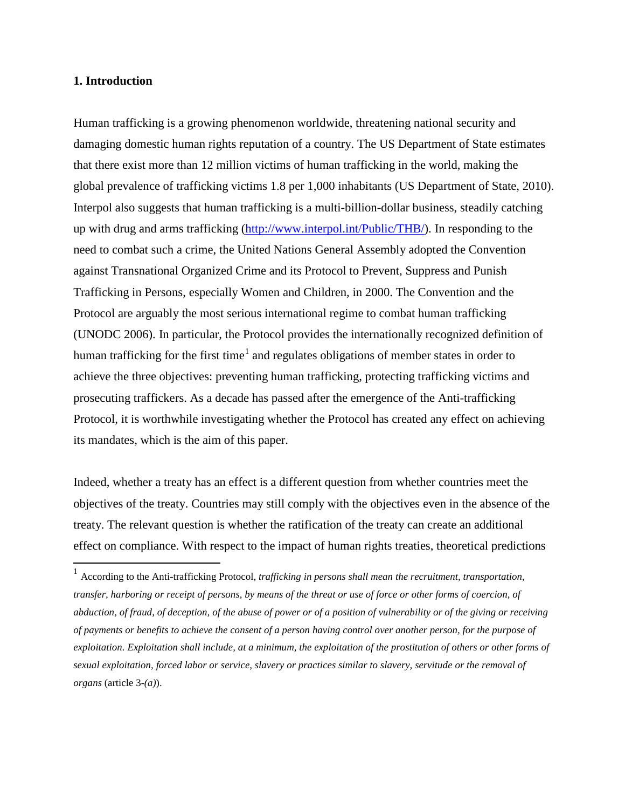#### **1. Introduction**

 $\overline{\phantom{0}}$ 

Human trafficking is a growing phenomenon worldwide, threatening national security and damaging domestic human rights reputation of a country. The US Department of State estimates that there exist more than 12 million victims of human trafficking in the world, making the global prevalence of trafficking victims 1.8 per 1,000 inhabitants (US Department of State, 2010). Interpol also suggests that human trafficking is a multi-billion-dollar business, steadily catching up with drug and arms trafficking [\(http://www.interpol.int/Public/THB/\)](http://www.interpol.int/Public/THB/default.asp). In responding to the need to combat such a crime, the United Nations General Assembly adopted the Convention against Transnational Organized Crime and its Protocol to Prevent, Suppress and Punish Trafficking in Persons, especially Women and Children, in 2000. The Convention and the Protocol are arguably the most serious international regime to combat human trafficking (UNODC 2006). In particular, the Protocol provides the internationally recognized definition of human trafficking for the first time<sup>[1](#page-1-0)</sup> and regulates obligations of member states in order to achieve the three objectives: preventing human trafficking, protecting trafficking victims and prosecuting traffickers. As a decade has passed after the emergence of the Anti-trafficking Protocol, it is worthwhile investigating whether the Protocol has created any effect on achieving its mandates, which is the aim of this paper.

Indeed, whether a treaty has an effect is a different question from whether countries meet the objectives of the treaty. Countries may still comply with the objectives even in the absence of the treaty. The relevant question is whether the ratification of the treaty can create an additional effect on compliance. With respect to the impact of human rights treaties, theoretical predictions

<span id="page-1-0"></span><sup>1</sup> According to the Anti-trafficking Protocol, *trafficking in persons shall mean the recruitment, transportation, transfer, harboring or receipt of persons, by means of the threat or use of force or other forms of coercion, of abduction, of fraud, of deception, of the abuse of power or of a position of vulnerability or of the giving or receiving of payments or benefits to achieve the consent of a person having control over another person, for the purpose of exploitation. Exploitation shall include, at a minimum, the exploitation of the prostitution of others or other forms of sexual exploitation, forced labor or service, slavery or practices similar to slavery, servitude or the removal of organs* (article 3-*(a)*).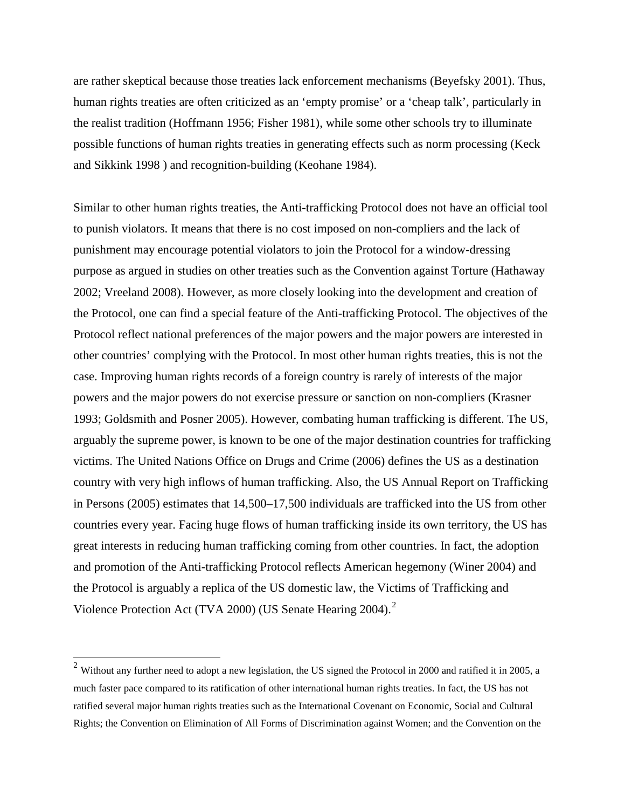are rather skeptical because those treaties lack enforcement mechanisms (Beyefsky 2001). Thus, human rights treaties are often criticized as an 'empty promise' or a 'cheap talk', particularly in the realist tradition (Hoffmann 1956; Fisher 1981), while some other schools try to illuminate possible functions of human rights treaties in generating effects such as norm processing (Keck and Sikkink 1998 ) and recognition-building (Keohane 1984).

Similar to other human rights treaties, the Anti-trafficking Protocol does not have an official tool to punish violators. It means that there is no cost imposed on non-compliers and the lack of punishment may encourage potential violators to join the Protocol for a window-dressing purpose as argued in studies on other treaties such as the Convention against Torture (Hathaway 2002; Vreeland 2008). However, as more closely looking into the development and creation of the Protocol, one can find a special feature of the Anti-trafficking Protocol. The objectives of the Protocol reflect national preferences of the major powers and the major powers are interested in other countries' complying with the Protocol. In most other human rights treaties, this is not the case. Improving human rights records of a foreign country is rarely of interests of the major powers and the major powers do not exercise pressure or sanction on non-compliers (Krasner 1993; Goldsmith and Posner 2005). However, combating human trafficking is different. The US, arguably the supreme power, is known to be one of the major destination countries for trafficking victims. The United Nations Office on Drugs and Crime (2006) defines the US as a destination country with very high inflows of human trafficking. Also, the US Annual Report on Trafficking in Persons (2005) estimates that 14,500–17,500 individuals are trafficked into the US from other countries every year. Facing huge flows of human trafficking inside its own territory, the US has great interests in reducing human trafficking coming from other countries. In fact, the adoption and promotion of the Anti-trafficking Protocol reflects American hegemony (Winer 2004) and the Protocol is arguably a replica of the US domestic law, the Victims of Trafficking and Violence Protection Act (TVA [2](#page-2-0)000) (US Senate Hearing 2004).<sup>2</sup>

 $\overline{\phantom{0}}$ 

<span id="page-2-0"></span> $2$  Without any further need to adopt a new legislation, the US signed the Protocol in 2000 and ratified it in 2005, a much faster pace compared to its ratification of other international human rights treaties. In fact, the US has not ratified several major human rights treaties such as the International Covenant on Economic, Social and Cultural Rights; the Convention on Elimination of All Forms of Discrimination against Women; and the Convention on the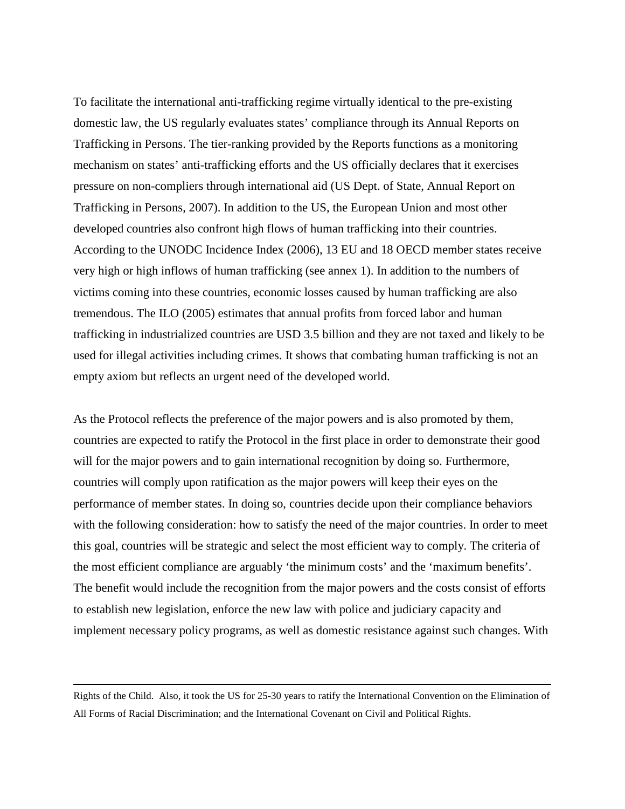To facilitate the international anti-trafficking regime virtually identical to the pre-existing domestic law, the US regularly evaluates states' compliance through its Annual Reports on Trafficking in Persons. The tier-ranking provided by the Reports functions as a monitoring mechanism on states' anti-trafficking efforts and the US officially declares that it exercises pressure on non-compliers through international aid (US Dept. of State, Annual Report on Trafficking in Persons, 2007). In addition to the US, the European Union and most other developed countries also confront high flows of human trafficking into their countries. According to the UNODC Incidence Index (2006), 13 EU and 18 OECD member states receive very high or high inflows of human trafficking (see annex 1). In addition to the numbers of victims coming into these countries, economic losses caused by human trafficking are also tremendous. The ILO (2005) estimates that annual profits from forced labor and human trafficking in industrialized countries are USD 3.5 billion and they are not taxed and likely to be used for illegal activities including crimes. It shows that combating human trafficking is not an empty axiom but reflects an urgent need of the developed world.

As the Protocol reflects the preference of the major powers and is also promoted by them, countries are expected to ratify the Protocol in the first place in order to demonstrate their good will for the major powers and to gain international recognition by doing so. Furthermore, countries will comply upon ratification as the major powers will keep their eyes on the performance of member states. In doing so, countries decide upon their compliance behaviors with the following consideration: how to satisfy the need of the major countries. In order to meet this goal, countries will be strategic and select the most efficient way to comply. The criteria of the most efficient compliance are arguably 'the minimum costs' and the 'maximum benefits'. The benefit would include the recognition from the major powers and the costs consist of efforts to establish new legislation, enforce the new law with police and judiciary capacity and implement necessary policy programs, as well as domestic resistance against such changes. With

l

Rights of the Child. Also, it took the US for 25-30 years to ratify the International Convention on the Elimination of All Forms of Racial Discrimination; and the International Covenant on Civil and Political Rights.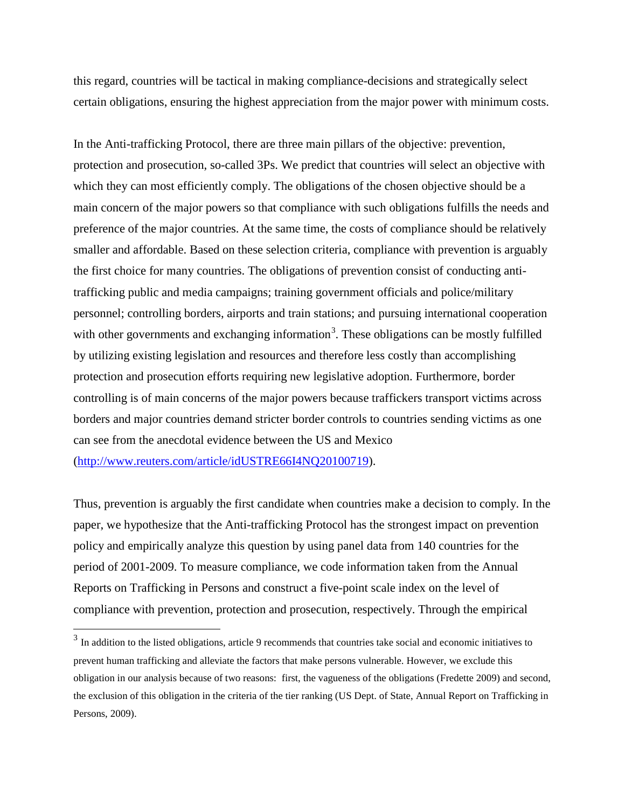this regard, countries will be tactical in making compliance-decisions and strategically select certain obligations, ensuring the highest appreciation from the major power with minimum costs.

In the Anti-trafficking Protocol, there are three main pillars of the objective: prevention, protection and prosecution, so-called 3Ps. We predict that countries will select an objective with which they can most efficiently comply. The obligations of the chosen objective should be a main concern of the major powers so that compliance with such obligations fulfills the needs and preference of the major countries. At the same time, the costs of compliance should be relatively smaller and affordable. Based on these selection criteria, compliance with prevention is arguably the first choice for many countries. The obligations of prevention consist of conducting antitrafficking public and media campaigns; training government officials and police/military personnel; controlling borders, airports and train stations; and pursuing international cooperation with other governments and exchanging information<sup>[3](#page-4-0)</sup>. These obligations can be mostly fulfilled by utilizing existing legislation and resources and therefore less costly than accomplishing protection and prosecution efforts requiring new legislative adoption. Furthermore, border controlling is of main concerns of the major powers because traffickers transport victims across borders and major countries demand stricter border controls to countries sending victims as one can see from the anecdotal evidence between the US and Mexico [\(http://www.reuters.com/article/idUSTRE66I4NQ20100719\)](http://www.reuters.com/article/idUSTRE66I4NQ20100719).

Thus, prevention is arguably the first candidate when countries make a decision to comply. In the paper, we hypothesize that the Anti-trafficking Protocol has the strongest impact on prevention policy and empirically analyze this question by using panel data from 140 countries for the period of 2001-2009. To measure compliance, we code information taken from the Annual Reports on Trafficking in Persons and construct a five-point scale index on the level of compliance with prevention, protection and prosecution, respectively. Through the empirical

l

<span id="page-4-0"></span><sup>&</sup>lt;sup>3</sup> In addition to the listed obligations, article 9 recommends that countries take social and economic initiatives to prevent human trafficking and alleviate the factors that make persons vulnerable. However, we exclude this obligation in our analysis because of two reasons: first, the vagueness of the obligations (Fredette 2009) and second, the exclusion of this obligation in the criteria of the tier ranking (US Dept. of State, Annual Report on Trafficking in Persons, 2009).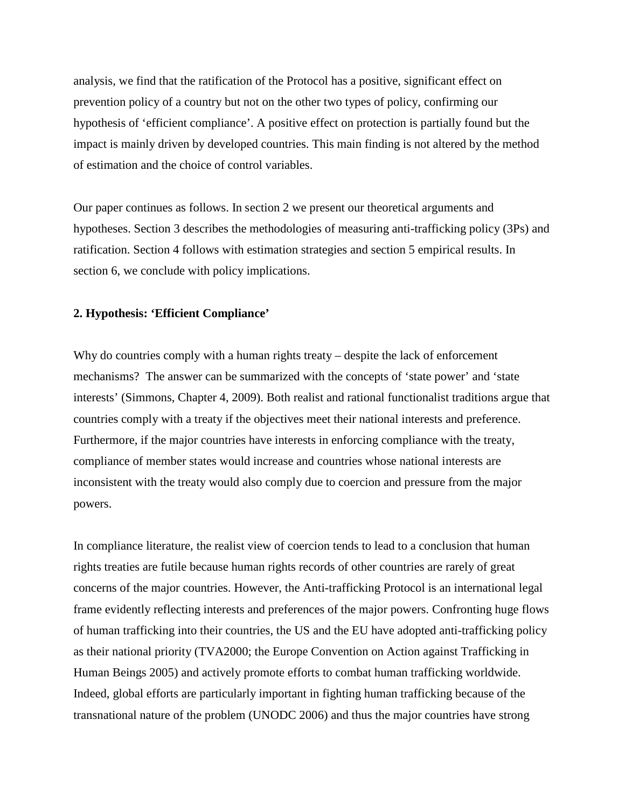analysis, we find that the ratification of the Protocol has a positive, significant effect on prevention policy of a country but not on the other two types of policy, confirming our hypothesis of 'efficient compliance'. A positive effect on protection is partially found but the impact is mainly driven by developed countries. This main finding is not altered by the method of estimation and the choice of control variables.

Our paper continues as follows. In section 2 we present our theoretical arguments and hypotheses. Section 3 describes the methodologies of measuring anti-trafficking policy (3Ps) and ratification. Section 4 follows with estimation strategies and section 5 empirical results. In section 6, we conclude with policy implications.

#### **2. Hypothesis: 'Efficient Compliance'**

Why do countries comply with a human rights treaty – despite the lack of enforcement mechanisms? The answer can be summarized with the concepts of 'state power' and 'state interests' (Simmons, Chapter 4, 2009). Both realist and rational functionalist traditions argue that countries comply with a treaty if the objectives meet their national interests and preference. Furthermore, if the major countries have interests in enforcing compliance with the treaty, compliance of member states would increase and countries whose national interests are inconsistent with the treaty would also comply due to coercion and pressure from the major powers.

In compliance literature, the realist view of coercion tends to lead to a conclusion that human rights treaties are futile because human rights records of other countries are rarely of great concerns of the major countries. However, the Anti-trafficking Protocol is an international legal frame evidently reflecting interests and preferences of the major powers. Confronting huge flows of human trafficking into their countries, the US and the EU have adopted anti-trafficking policy as their national priority (TVA2000; the Europe Convention on Action against Trafficking in Human Beings 2005) and actively promote efforts to combat human trafficking worldwide. Indeed, global efforts are particularly important in fighting human trafficking because of the transnational nature of the problem (UNODC 2006) and thus the major countries have strong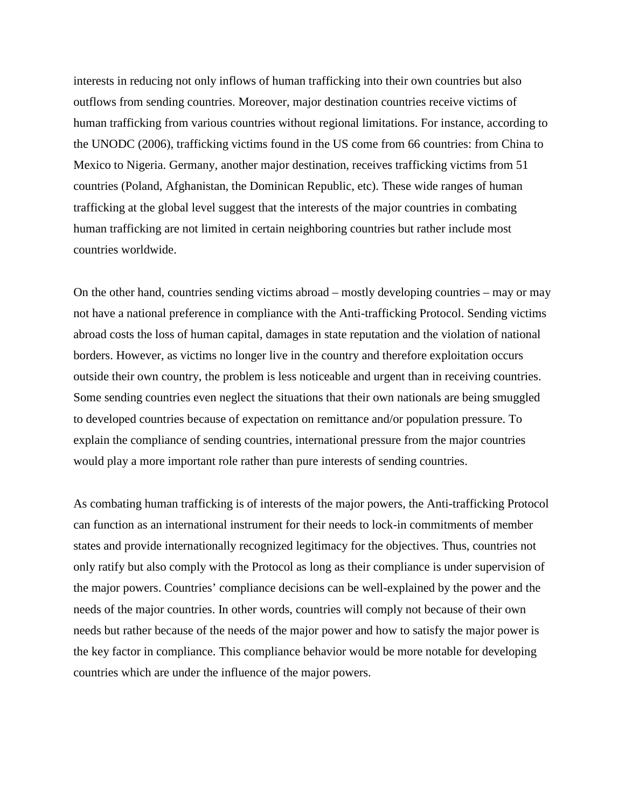interests in reducing not only inflows of human trafficking into their own countries but also outflows from sending countries. Moreover, major destination countries receive victims of human trafficking from various countries without regional limitations. For instance, according to the UNODC (2006), trafficking victims found in the US come from 66 countries: from China to Mexico to Nigeria. Germany, another major destination, receives trafficking victims from 51 countries (Poland, Afghanistan, the Dominican Republic, etc). These wide ranges of human trafficking at the global level suggest that the interests of the major countries in combating human trafficking are not limited in certain neighboring countries but rather include most countries worldwide.

On the other hand, countries sending victims abroad – mostly developing countries – may or may not have a national preference in compliance with the Anti-trafficking Protocol. Sending victims abroad costs the loss of human capital, damages in state reputation and the violation of national borders. However, as victims no longer live in the country and therefore exploitation occurs outside their own country, the problem is less noticeable and urgent than in receiving countries. Some sending countries even neglect the situations that their own nationals are being smuggled to developed countries because of expectation on remittance and/or population pressure. To explain the compliance of sending countries, international pressure from the major countries would play a more important role rather than pure interests of sending countries.

As combating human trafficking is of interests of the major powers, the Anti-trafficking Protocol can function as an international instrument for their needs to lock-in commitments of member states and provide internationally recognized legitimacy for the objectives. Thus, countries not only ratify but also comply with the Protocol as long as their compliance is under supervision of the major powers. Countries' compliance decisions can be well-explained by the power and the needs of the major countries. In other words, countries will comply not because of their own needs but rather because of the needs of the major power and how to satisfy the major power is the key factor in compliance. This compliance behavior would be more notable for developing countries which are under the influence of the major powers.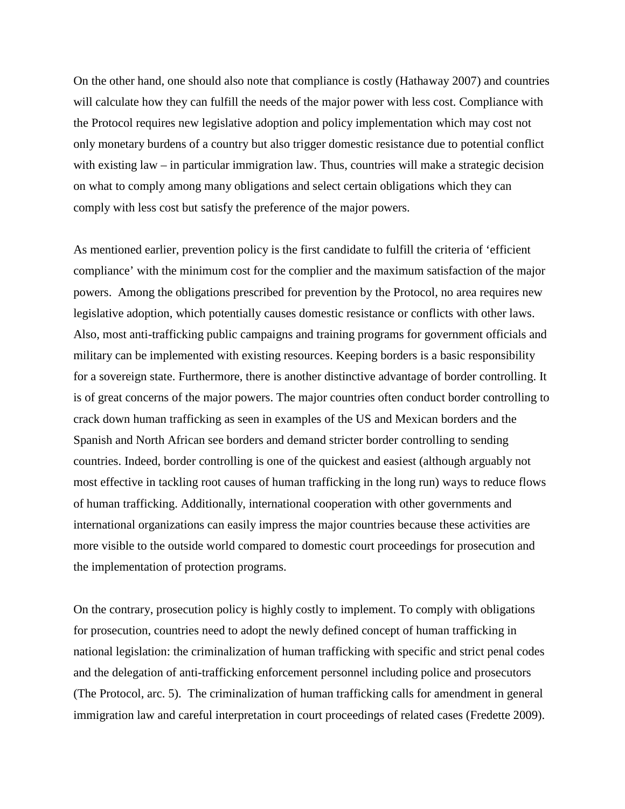On the other hand, one should also note that compliance is costly (Hathaway 2007) and countries will calculate how they can fulfill the needs of the major power with less cost. Compliance with the Protocol requires new legislative adoption and policy implementation which may cost not only monetary burdens of a country but also trigger domestic resistance due to potential conflict with existing law – in particular immigration law. Thus, countries will make a strategic decision on what to comply among many obligations and select certain obligations which they can comply with less cost but satisfy the preference of the major powers.

As mentioned earlier, prevention policy is the first candidate to fulfill the criteria of 'efficient compliance' with the minimum cost for the complier and the maximum satisfaction of the major powers. Among the obligations prescribed for prevention by the Protocol, no area requires new legislative adoption, which potentially causes domestic resistance or conflicts with other laws. Also, most anti-trafficking public campaigns and training programs for government officials and military can be implemented with existing resources. Keeping borders is a basic responsibility for a sovereign state. Furthermore, there is another distinctive advantage of border controlling. It is of great concerns of the major powers. The major countries often conduct border controlling to crack down human trafficking as seen in examples of the US and Mexican borders and the Spanish and North African see borders and demand stricter border controlling to sending countries. Indeed, border controlling is one of the quickest and easiest (although arguably not most effective in tackling root causes of human trafficking in the long run) ways to reduce flows of human trafficking. Additionally, international cooperation with other governments and international organizations can easily impress the major countries because these activities are more visible to the outside world compared to domestic court proceedings for prosecution and the implementation of protection programs.

On the contrary, prosecution policy is highly costly to implement. To comply with obligations for prosecution, countries need to adopt the newly defined concept of human trafficking in national legislation: the criminalization of human trafficking with specific and strict penal codes and the delegation of anti-trafficking enforcement personnel including police and prosecutors (The Protocol, arc. 5). The criminalization of human trafficking calls for amendment in general immigration law and careful interpretation in court proceedings of related cases (Fredette 2009).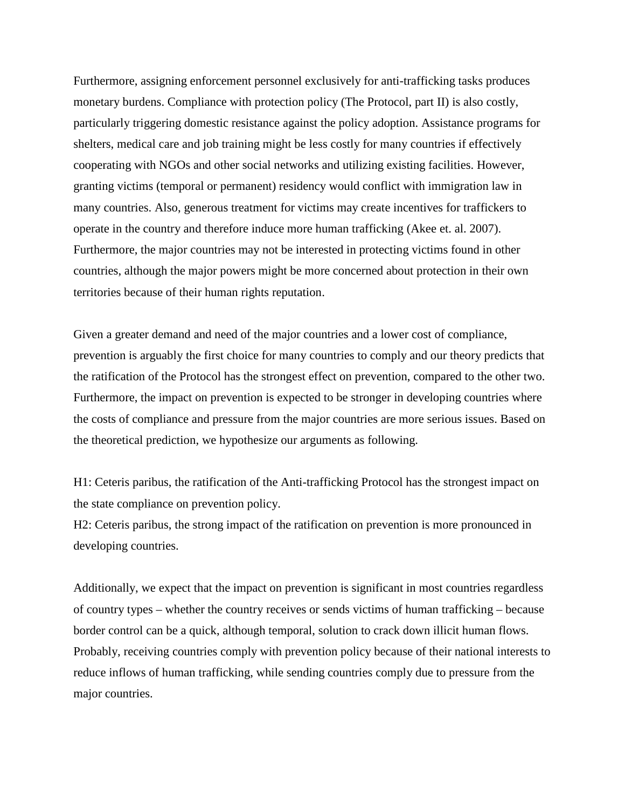Furthermore, assigning enforcement personnel exclusively for anti-trafficking tasks produces monetary burdens. Compliance with protection policy (The Protocol, part II) is also costly, particularly triggering domestic resistance against the policy adoption. Assistance programs for shelters, medical care and job training might be less costly for many countries if effectively cooperating with NGOs and other social networks and utilizing existing facilities. However, granting victims (temporal or permanent) residency would conflict with immigration law in many countries. Also, generous treatment for victims may create incentives for traffickers to operate in the country and therefore induce more human trafficking (Akee et. al. 2007). Furthermore, the major countries may not be interested in protecting victims found in other countries, although the major powers might be more concerned about protection in their own territories because of their human rights reputation.

Given a greater demand and need of the major countries and a lower cost of compliance, prevention is arguably the first choice for many countries to comply and our theory predicts that the ratification of the Protocol has the strongest effect on prevention, compared to the other two. Furthermore, the impact on prevention is expected to be stronger in developing countries where the costs of compliance and pressure from the major countries are more serious issues. Based on the theoretical prediction, we hypothesize our arguments as following.

H1: Ceteris paribus, the ratification of the Anti-trafficking Protocol has the strongest impact on the state compliance on prevention policy.

H2: Ceteris paribus, the strong impact of the ratification on prevention is more pronounced in developing countries.

Additionally, we expect that the impact on prevention is significant in most countries regardless of country types – whether the country receives or sends victims of human trafficking – because border control can be a quick, although temporal, solution to crack down illicit human flows. Probably, receiving countries comply with prevention policy because of their national interests to reduce inflows of human trafficking, while sending countries comply due to pressure from the major countries.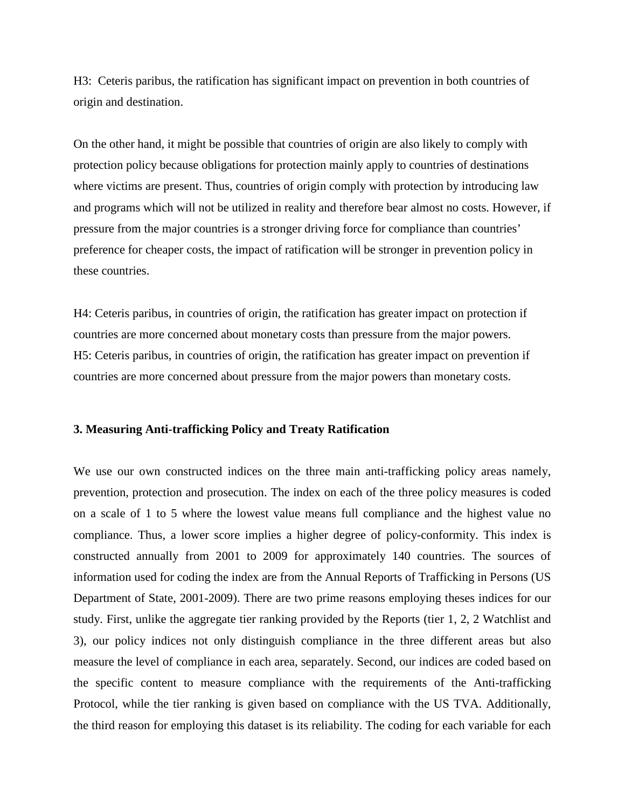H3: Ceteris paribus, the ratification has significant impact on prevention in both countries of origin and destination.

On the other hand, it might be possible that countries of origin are also likely to comply with protection policy because obligations for protection mainly apply to countries of destinations where victims are present. Thus, countries of origin comply with protection by introducing law and programs which will not be utilized in reality and therefore bear almost no costs. However, if pressure from the major countries is a stronger driving force for compliance than countries' preference for cheaper costs, the impact of ratification will be stronger in prevention policy in these countries.

H4: Ceteris paribus, in countries of origin, the ratification has greater impact on protection if countries are more concerned about monetary costs than pressure from the major powers. H5: Ceteris paribus, in countries of origin, the ratification has greater impact on prevention if countries are more concerned about pressure from the major powers than monetary costs.

#### **3. Measuring Anti-trafficking Policy and Treaty Ratification**

We use our own constructed indices on the three main anti-trafficking policy areas namely, prevention, protection and prosecution. The index on each of the three policy measures is coded on a scale of 1 to 5 where the lowest value means full compliance and the highest value no compliance. Thus, a lower score implies a higher degree of policy-conformity. This index is constructed annually from 2001 to 2009 for approximately 140 countries. The sources of information used for coding the index are from the Annual Reports of Trafficking in Persons (US Department of State, 2001-2009). There are two prime reasons employing theses indices for our study. First, unlike the aggregate tier ranking provided by the Reports (tier 1, 2, 2 Watchlist and 3), our policy indices not only distinguish compliance in the three different areas but also measure the level of compliance in each area, separately. Second, our indices are coded based on the specific content to measure compliance with the requirements of the Anti-trafficking Protocol, while the tier ranking is given based on compliance with the US TVA. Additionally, the third reason for employing this dataset is its reliability. The coding for each variable for each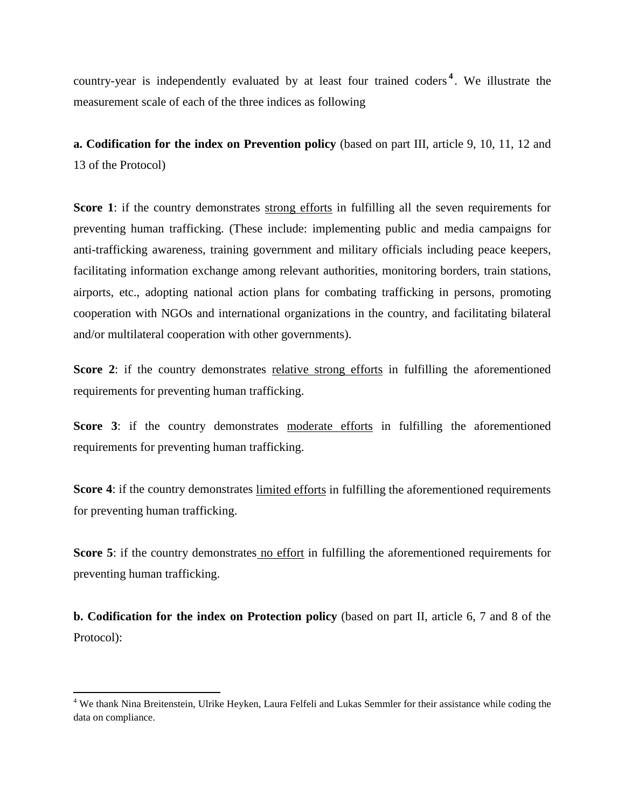country-year is independently evaluated by at least four trained coders **[4](#page-10-0)** . We illustrate the measurement scale of each of the three indices as following

**a. Codification for the index on Prevention policy** (based on part III, article 9, 10, 11, 12 and 13 of the Protocol)

**Score 1:** if the country demonstrates strong efforts in fulfilling all the seven requirements for preventing human trafficking. (These include: implementing public and media campaigns for anti-trafficking awareness, training government and military officials including peace keepers, facilitating information exchange among relevant authorities, monitoring borders, train stations, airports, etc., adopting national action plans for combating trafficking in persons, promoting cooperation with NGOs and international organizations in the country, and facilitating bilateral and/or multilateral cooperation with other governments).

**Score 2:** if the country demonstrates relative strong efforts in fulfilling the aforementioned requirements for preventing human trafficking.

**Score 3:** if the country demonstrates moderate efforts in fulfilling the aforementioned requirements for preventing human trafficking.

**Score 4:** if the country demonstrates limited efforts in fulfilling the aforementioned requirements for preventing human trafficking.

**Score 5**: if the country demonstrates no effort in fulfilling the aforementioned requirements for preventing human trafficking.

**b. Codification for the index on Protection policy** (based on part II, article 6, 7 and 8 of the Protocol):

ı

<span id="page-10-0"></span><sup>&</sup>lt;sup>4</sup> We thank Nina Breitenstein, Ulrike Heyken, Laura Felfeli and Lukas Semmler for their assistance while coding the data on compliance.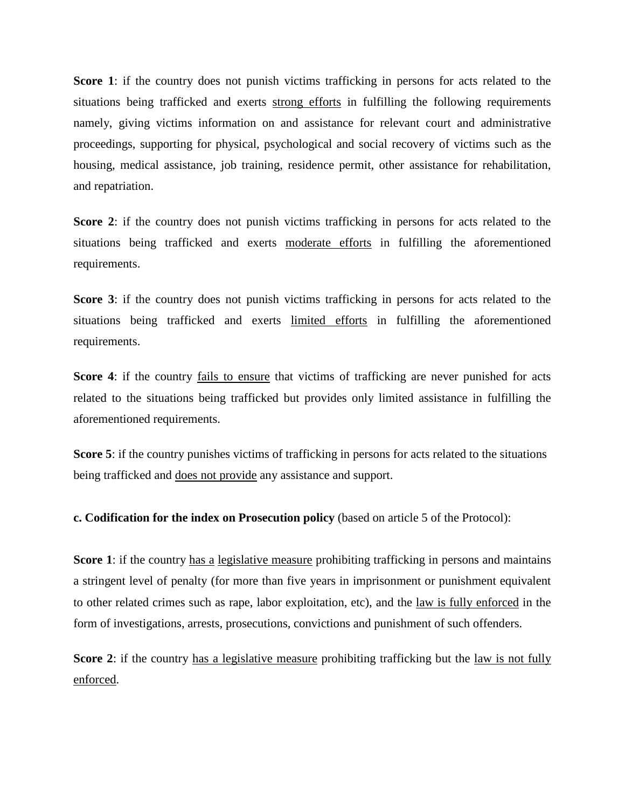**Score 1**: if the country does not punish victims trafficking in persons for acts related to the situations being trafficked and exerts strong efforts in fulfilling the following requirements namely, giving victims information on and assistance for relevant court and administrative proceedings, supporting for physical, psychological and social recovery of victims such as the housing, medical assistance, job training, residence permit, other assistance for rehabilitation, and repatriation.

**Score 2**: if the country does not punish victims trafficking in persons for acts related to the situations being trafficked and exerts moderate efforts in fulfilling the aforementioned requirements.

**Score 3**: if the country does not punish victims trafficking in persons for acts related to the situations being trafficked and exerts limited efforts in fulfilling the aforementioned requirements.

**Score 4**: if the country fails to ensure that victims of trafficking are never punished for acts related to the situations being trafficked but provides only limited assistance in fulfilling the aforementioned requirements.

**Score 5**: if the country punishes victims of trafficking in persons for acts related to the situations being trafficked and does not provide any assistance and support.

**c. Codification for the index on Prosecution policy** (based on article 5 of the Protocol):

**Score 1**: if the country has a legislative measure prohibiting trafficking in persons and maintains a stringent level of penalty (for more than five years in imprisonment or punishment equivalent to other related crimes such as rape, labor exploitation, etc), and the law is fully enforced in the form of investigations, arrests, prosecutions, convictions and punishment of such offenders.

**Score 2:** if the country has a legislative measure prohibiting trafficking but the law is not fully enforced.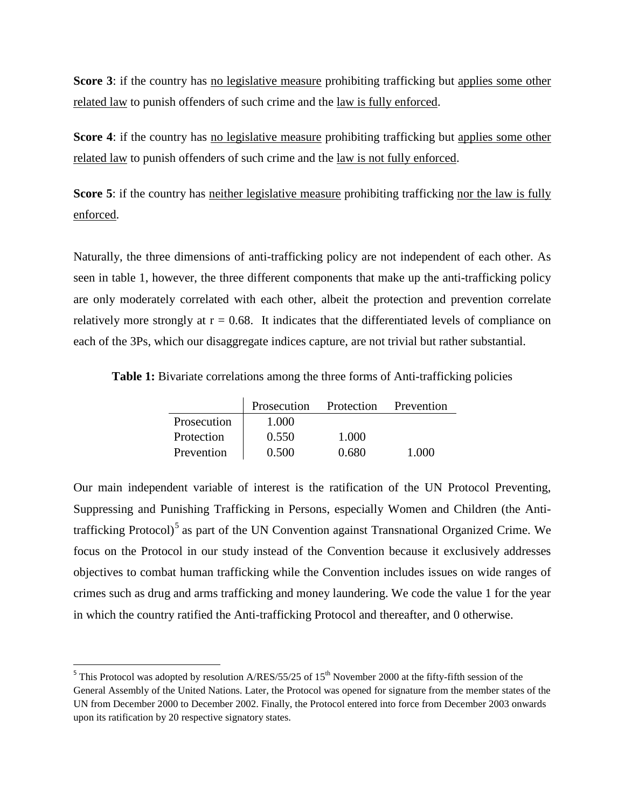**Score 3**: if the country has no legislative measure prohibiting trafficking but applies some other related law to punish offenders of such crime and the law is fully enforced.

**Score 4:** if the country has no legislative measure prohibiting trafficking but applies some other related law to punish offenders of such crime and the law is not fully enforced.

**Score 5**: if the country has neither legislative measure prohibiting trafficking nor the law is fully enforced.

Naturally, the three dimensions of anti-trafficking policy are not independent of each other. As seen in table 1, however, the three different components that make up the anti-trafficking policy are only moderately correlated with each other, albeit the protection and prevention correlate relatively more strongly at  $r = 0.68$ . It indicates that the differentiated levels of compliance on each of the 3Ps, which our disaggregate indices capture, are not trivial but rather substantial.

**Table 1:** Bivariate correlations among the three forms of Anti-trafficking policies

|             | Prosecution | Protection | Prevention |
|-------------|-------------|------------|------------|
| Prosecution | 1.000       |            |            |
| Protection  | 0.550       | 1.000      |            |
| Prevention  | 0.500       | 0.680      | 1.000      |

Our main independent variable of interest is the ratification of the UN Protocol Preventing, Suppressing and Punishing Trafficking in Persons, especially Women and Children (the Anti-trafficking Protocol)<sup>[5](#page-12-0)</sup> as part of the UN Convention against Transnational Organized Crime. We focus on the Protocol in our study instead of the Convention because it exclusively addresses objectives to combat human trafficking while the Convention includes issues on wide ranges of crimes such as drug and arms trafficking and money laundering. We code the value 1 for the year in which the country ratified the Anti-trafficking Protocol and thereafter, and 0 otherwise.

<span id="page-12-0"></span> $5$  This Protocol was adopted by resolution A/RES/55/25 of 15<sup>th</sup> November 2000 at the fifty-fifth session of the General Assembly of the United Nations. Later, the Protocol was opened for signature from the member states of the UN from December 2000 to December 2002. Finally, the Protocol entered into force from December 2003 onwards upon its ratification by 20 respective signatory states.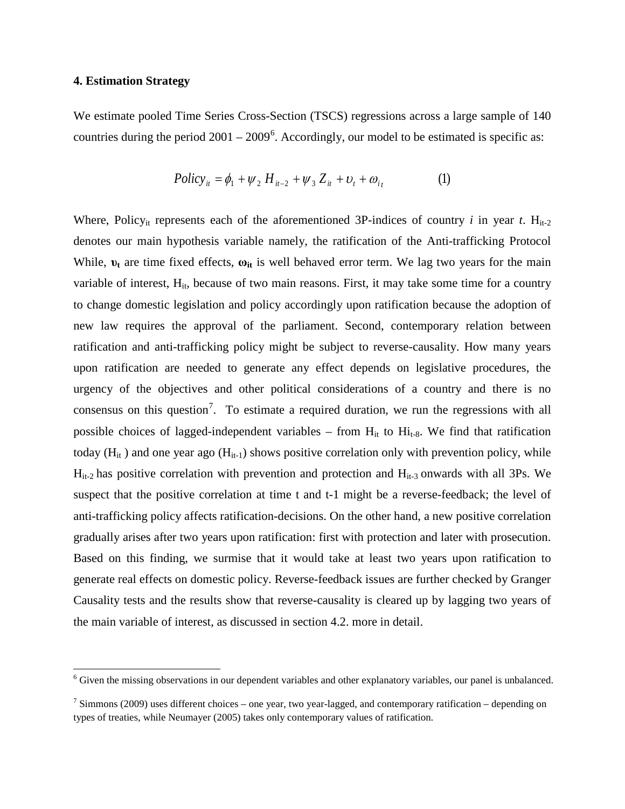#### **4. Estimation Strategy**

 $\overline{\phantom{0}}$ 

We estimate pooled Time Series Cross-Section (TSCS) regressions across a large sample of 140 countries during the period  $2001 - 2009^6$  $2001 - 2009^6$ . Accordingly, our model to be estimated is specific as:

$$
Policy_{it} = \phi_1 + \psi_2 H_{it-2} + \psi_3 Z_{it} + \upsilon_t + \omega_{it}
$$
 (1)

Where, Policy<sub>it</sub> represents each of the aforementioned 3P-indices of country *i* in year *t*.  $H_{it-2}$ denotes our main hypothesis variable namely, the ratification of the Anti-trafficking Protocol While,  $v_t$  are time fixed effects,  $\omega_{it}$  is well behaved error term. We lag two years for the main variable of interest,  $H_{it}$ , because of two main reasons. First, it may take some time for a country to change domestic legislation and policy accordingly upon ratification because the adoption of new law requires the approval of the parliament. Second, contemporary relation between ratification and anti-trafficking policy might be subject to reverse-causality. How many years upon ratification are needed to generate any effect depends on legislative procedures, the urgency of the objectives and other political considerations of a country and there is no consensus on this question<sup>[7](#page-13-1)</sup>. To estimate a required duration, we run the regressions with all possible choices of lagged-independent variables – from  $H_{it}$  to  $H_{it-8}$ . We find that ratification today ( $H_{it}$ ) and one year ago ( $H_{it-1}$ ) shows positive correlation only with prevention policy, while  $H_{it-2}$  has positive correlation with prevention and protection and  $H_{it-3}$  onwards with all 3Ps. We suspect that the positive correlation at time t and t-1 might be a reverse-feedback; the level of anti-trafficking policy affects ratification-decisions. On the other hand, a new positive correlation gradually arises after two years upon ratification: first with protection and later with prosecution. Based on this finding, we surmise that it would take at least two years upon ratification to generate real effects on domestic policy. Reverse-feedback issues are further checked by Granger Causality tests and the results show that reverse-causality is cleared up by lagging two years of the main variable of interest, as discussed in section 4.2. more in detail.

<span id="page-13-0"></span><sup>&</sup>lt;sup>6</sup> Given the missing observations in our dependent variables and other explanatory variables, our panel is unbalanced.

<span id="page-13-1"></span><sup>&</sup>lt;sup>7</sup> Simmons (2009) uses different choices – one year, two year-lagged, and contemporary ratification – depending on types of treaties, while Neumayer (2005) takes only contemporary values of ratification.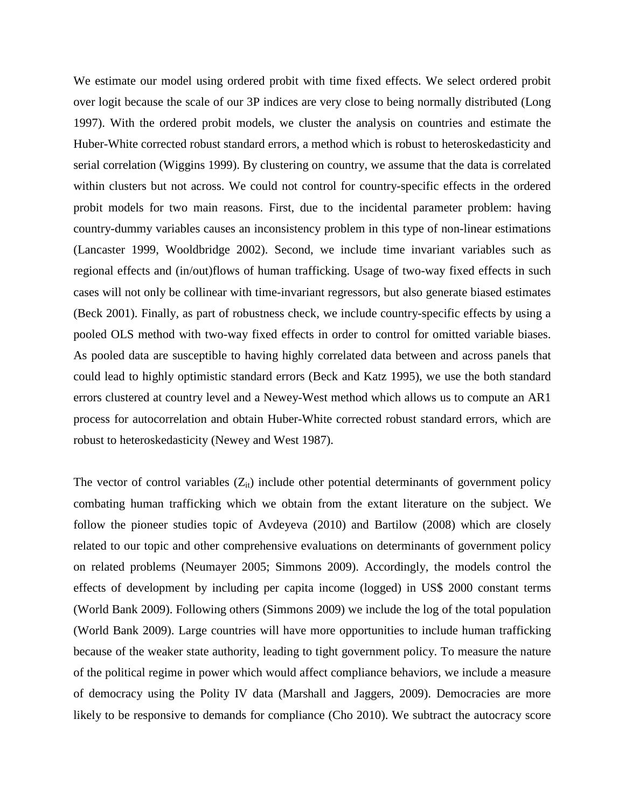We estimate our model using ordered probit with time fixed effects. We select ordered probit over logit because the scale of our 3P indices are very close to being normally distributed (Long 1997). With the ordered probit models, we cluster the analysis on countries and estimate the Huber-White corrected robust standard errors, a method which is robust to heteroskedasticity and serial correlation (Wiggins 1999). By clustering on country, we assume that the data is correlated within clusters but not across. We could not control for country-specific effects in the ordered probit models for two main reasons. First, due to the incidental parameter problem: having country-dummy variables causes an inconsistency problem in this type of non-linear estimations (Lancaster 1999, Wooldbridge 2002). Second, we include time invariant variables such as regional effects and (in/out)flows of human trafficking. Usage of two-way fixed effects in such cases will not only be collinear with time-invariant regressors, but also generate biased estimates (Beck 2001). Finally, as part of robustness check, we include country-specific effects by using a pooled OLS method with two-way fixed effects in order to control for omitted variable biases. As pooled data are susceptible to having highly correlated data between and across panels that could lead to highly optimistic standard errors (Beck and Katz 1995), we use the both standard errors clustered at country level and a Newey-West method which allows us to compute an AR1 process for autocorrelation and obtain Huber-White corrected robust standard errors, which are robust to heteroskedasticity (Newey and West 1987).

The vector of control variables  $(Z_{it})$  include other potential determinants of government policy combating human trafficking which we obtain from the extant literature on the subject. We follow the pioneer studies topic of Avdeyeva (2010) and Bartilow (2008) which are closely related to our topic and other comprehensive evaluations on determinants of government policy on related problems (Neumayer 2005; Simmons 2009). Accordingly, the models control the effects of development by including per capita income (logged) in US\$ 2000 constant terms (World Bank 2009). Following others (Simmons 2009) we include the log of the total population (World Bank 2009). Large countries will have more opportunities to include human trafficking because of the weaker state authority, leading to tight government policy. To measure the nature of the political regime in power which would affect compliance behaviors, we include a measure of democracy using the Polity IV data (Marshall and Jaggers, 2009). Democracies are more likely to be responsive to demands for compliance (Cho 2010). We subtract the autocracy score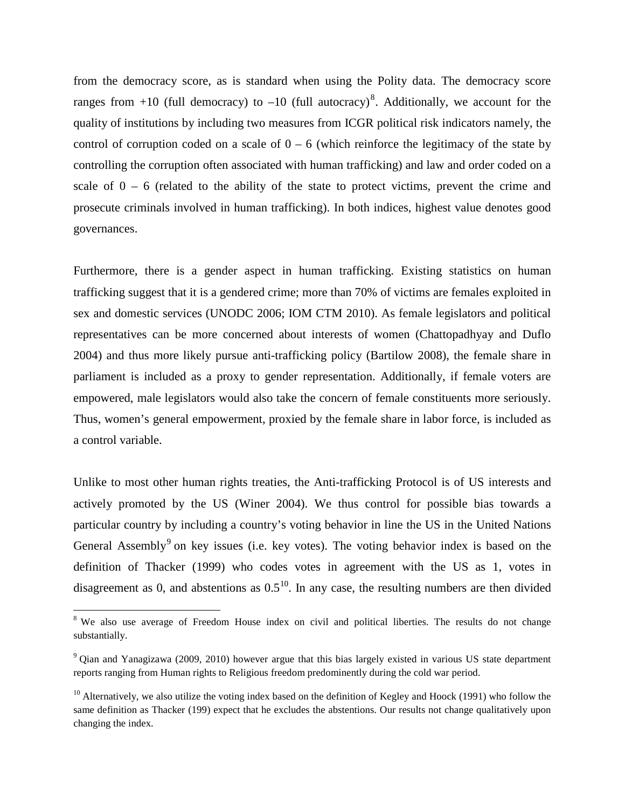from the democracy score, as is standard when using the Polity data. The democracy score ranges from  $+10$  (full democracy) to  $-10$  (full autocracy)<sup>[8](#page-15-0)</sup>. Additionally, we account for the quality of institutions by including two measures from ICGR political risk indicators namely, the control of corruption coded on a scale of  $0 - 6$  (which reinforce the legitimacy of the state by controlling the corruption often associated with human trafficking) and law and order coded on a scale of  $0 - 6$  (related to the ability of the state to protect victims, prevent the crime and prosecute criminals involved in human trafficking). In both indices, highest value denotes good governances.

Furthermore, there is a gender aspect in human trafficking. Existing statistics on human trafficking suggest that it is a gendered crime; more than 70% of victims are females exploited in sex and domestic services (UNODC 2006; IOM CTM 2010). As female legislators and political representatives can be more concerned about interests of women (Chattopadhyay and Duflo 2004) and thus more likely pursue anti-trafficking policy (Bartilow 2008), the female share in parliament is included as a proxy to gender representation. Additionally, if female voters are empowered, male legislators would also take the concern of female constituents more seriously. Thus, women's general empowerment, proxied by the female share in labor force, is included as a control variable.

Unlike to most other human rights treaties, the Anti-trafficking Protocol is of US interests and actively promoted by the US (Winer 2004). We thus control for possible bias towards a particular country by including a country's voting behavior in line the US in the United Nations General Assembly<sup>[9](#page-15-1)</sup> on key issues (i.e. key votes). The voting behavior index is based on the definition of Thacker (1999) who codes votes in agreement with the US as 1, votes in disagreement as 0, and abstentions as  $0.5<sup>10</sup>$  $0.5<sup>10</sup>$  $0.5<sup>10</sup>$ . In any case, the resulting numbers are then divided

ı

<span id="page-15-0"></span><sup>&</sup>lt;sup>8</sup> We also use average of Freedom House index on civil and political liberties. The results do not change substantially.

<span id="page-15-1"></span><sup>9</sup> Qian and Yanagizawa (2009, 2010) however argue that this bias largely existed in various US state department reports ranging from Human rights to Religious freedom predominently during the cold war period.

<span id="page-15-2"></span> $10$  Alternatively, we also utilize the voting index based on the definition of Kegley and Hoock (1991) who follow the same definition as Thacker (199) expect that he excludes the abstentions. Our results not change qualitatively upon changing the index.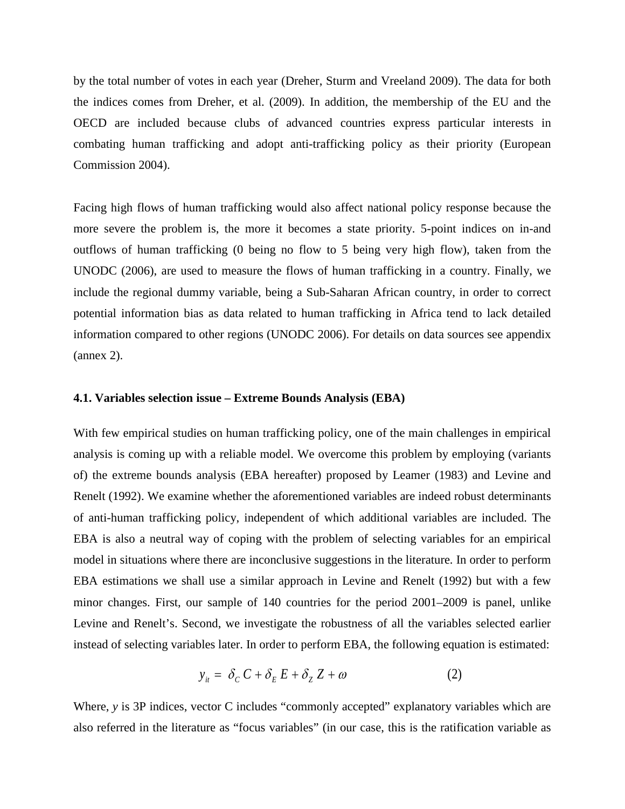by the total number of votes in each year (Dreher, Sturm and Vreeland 2009). The data for both the indices comes from Dreher, et al. (2009). In addition, the membership of the EU and the OECD are included because clubs of advanced countries express particular interests in combating human trafficking and adopt anti-trafficking policy as their priority (European Commission 2004).

Facing high flows of human trafficking would also affect national policy response because the more severe the problem is, the more it becomes a state priority. 5-point indices on in-and outflows of human trafficking (0 being no flow to 5 being very high flow), taken from the UNODC (2006), are used to measure the flows of human trafficking in a country. Finally, we include the regional dummy variable, being a Sub-Saharan African country, in order to correct potential information bias as data related to human trafficking in Africa tend to lack detailed information compared to other regions (UNODC 2006). For details on data sources see appendix (annex 2).

#### **4.1. Variables selection issue – Extreme Bounds Analysis (EBA)**

With few empirical studies on human trafficking policy, one of the main challenges in empirical analysis is coming up with a reliable model. We overcome this problem by employing (variants of) the extreme bounds analysis (EBA hereafter) proposed by Leamer (1983) and Levine and Renelt (1992). We examine whether the aforementioned variables are indeed robust determinants of anti-human trafficking policy, independent of which additional variables are included. The EBA is also a neutral way of coping with the problem of selecting variables for an empirical model in situations where there are inconclusive suggestions in the literature. In order to perform EBA estimations we shall use a similar approach in Levine and Renelt (1992) but with a few minor changes. First, our sample of 140 countries for the period 2001–2009 is panel, unlike Levine and Renelt's. Second, we investigate the robustness of all the variables selected earlier instead of selecting variables later. In order to perform EBA, the following equation is estimated:

$$
y_{it} = \delta_C C + \delta_E E + \delta_Z Z + \omega \tag{2}
$$

Where, *y* is 3P indices, vector C includes "commonly accepted" explanatory variables which are also referred in the literature as "focus variables" (in our case, this is the ratification variable as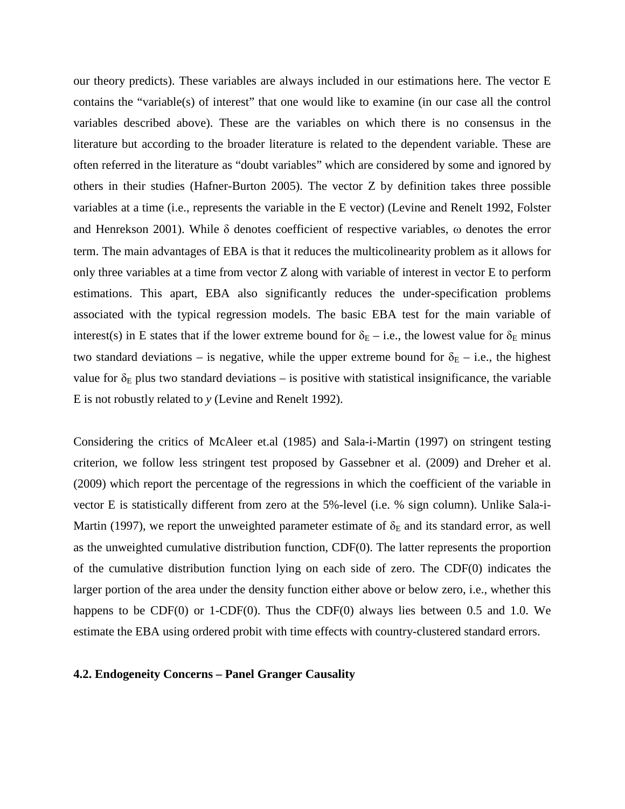our theory predicts). These variables are always included in our estimations here. The vector E contains the "variable(s) of interest" that one would like to examine (in our case all the control variables described above). These are the variables on which there is no consensus in the literature but according to the broader literature is related to the dependent variable. These are often referred in the literature as "doubt variables" which are considered by some and ignored by others in their studies (Hafner-Burton 2005). The vector Z by definition takes three possible variables at a time (i.e., represents the variable in the E vector) (Levine and Renelt 1992, Folster and Henrekson 2001). While δ denotes coefficient of respective variables, ω denotes the error term. The main advantages of EBA is that it reduces the multicolinearity problem as it allows for only three variables at a time from vector Z along with variable of interest in vector E to perform estimations. This apart, EBA also significantly reduces the under-specification problems associated with the typical regression models. The basic EBA test for the main variable of interest(s) in E states that if the lower extreme bound for  $\delta_{E}$  – i.e., the lowest value for  $\delta_{E}$  minus two standard deviations – is negative, while the upper extreme bound for  $\delta_{\rm E}$  – i.e., the highest value for  $\delta_E$  plus two standard deviations – is positive with statistical insignificance, the variable E is not robustly related to *y* (Levine and Renelt 1992).

Considering the critics of McAleer et.al (1985) and Sala-i-Martin (1997) on stringent testing criterion, we follow less stringent test proposed by Gassebner et al. (2009) and Dreher et al. (2009) which report the percentage of the regressions in which the coefficient of the variable in vector E is statistically different from zero at the 5%-level (i.e. % sign column). Unlike Sala-i-Martin (1997), we report the unweighted parameter estimate of  $\delta_E$  and its standard error, as well as the unweighted cumulative distribution function, CDF(0). The latter represents the proportion of the cumulative distribution function lying on each side of zero. The CDF(0) indicates the larger portion of the area under the density function either above or below zero, i.e., whether this happens to be CDF(0) or 1-CDF(0). Thus the CDF(0) always lies between 0.5 and 1.0. We estimate the EBA using ordered probit with time effects with country-clustered standard errors.

#### **4.2. Endogeneity Concerns – Panel Granger Causality**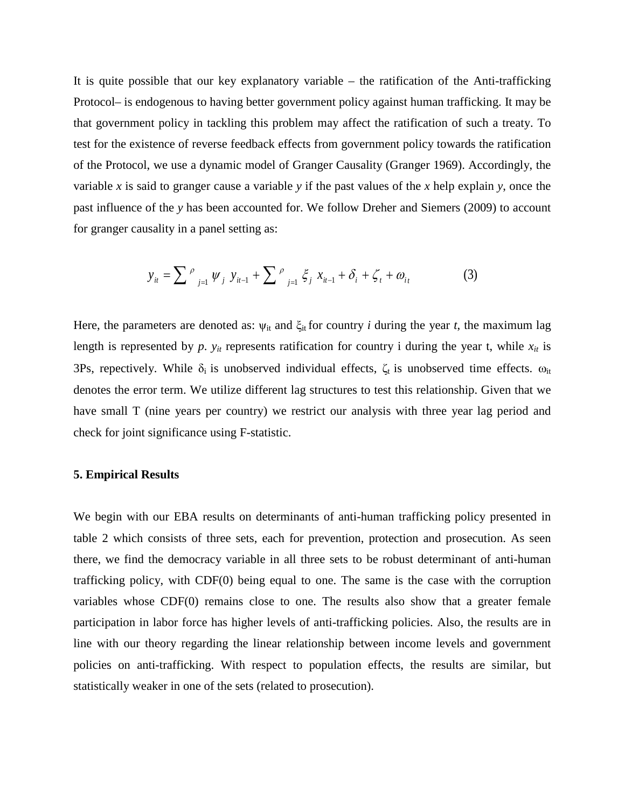It is quite possible that our key explanatory variable – the ratification of the Anti-trafficking Protocol– is endogenous to having better government policy against human trafficking. It may be that government policy in tackling this problem may affect the ratification of such a treaty. To test for the existence of reverse feedback effects from government policy towards the ratification of the Protocol, we use a dynamic model of Granger Causality (Granger 1969). Accordingly, the variable *x* is said to granger cause a variable *y* if the past values of the *x* help explain *y*, once the past influence of the *y* has been accounted for. We follow Dreher and Siemers (2009) to account for granger causality in a panel setting as:

$$
y_{it} = \sum_{j=1}^{\rho} \psi_j \ y_{it-1} + \sum_{j=1}^{\rho} \xi_j \ x_{it-1} + \delta_i + \zeta_t + \omega_{it}
$$
 (3)

Here, the parameters are denoted as:  $\psi_{it}$  and  $\xi_{it}$  for country *i* during the year *t*, the maximum lag length is represented by  $p$ .  $y_{it}$  represents ratification for country i during the year t, while  $x_{it}$  is 3Ps, repectively. While  $\delta_i$  is unobserved individual effects,  $\zeta_t$  is unobserved time effects.  $\omega_{it}$ denotes the error term. We utilize different lag structures to test this relationship. Given that we have small T (nine years per country) we restrict our analysis with three year lag period and check for joint significance using F-statistic.

#### **5. Empirical Results**

We begin with our EBA results on determinants of anti-human trafficking policy presented in table 2 which consists of three sets, each for prevention, protection and prosecution. As seen there, we find the democracy variable in all three sets to be robust determinant of anti-human trafficking policy, with CDF(0) being equal to one. The same is the case with the corruption variables whose CDF(0) remains close to one. The results also show that a greater female participation in labor force has higher levels of anti-trafficking policies. Also, the results are in line with our theory regarding the linear relationship between income levels and government policies on anti-trafficking. With respect to population effects, the results are similar, but statistically weaker in one of the sets (related to prosecution).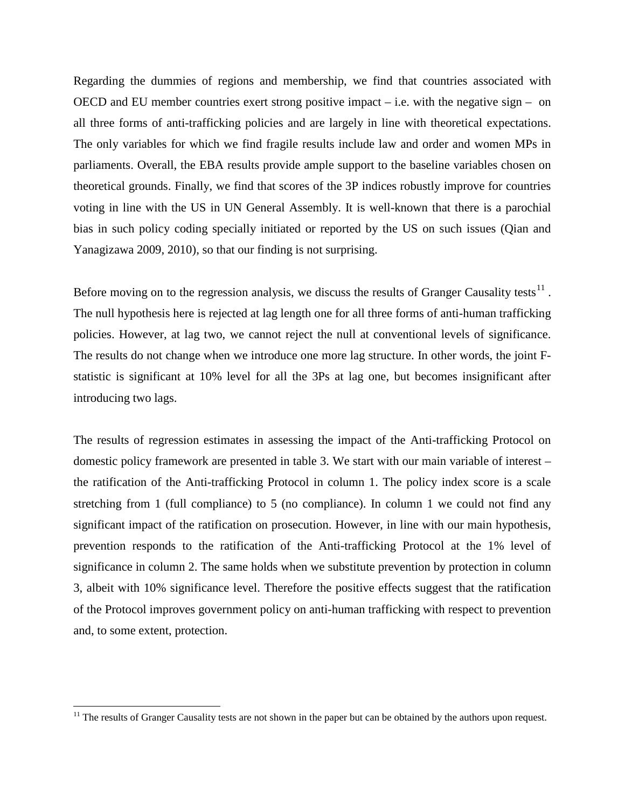Regarding the dummies of regions and membership, we find that countries associated with OECD and EU member countries exert strong positive impact  $-$  i.e. with the negative sign  $-$  on all three forms of anti-trafficking policies and are largely in line with theoretical expectations. The only variables for which we find fragile results include law and order and women MPs in parliaments. Overall, the EBA results provide ample support to the baseline variables chosen on theoretical grounds. Finally, we find that scores of the 3P indices robustly improve for countries voting in line with the US in UN General Assembly. It is well-known that there is a parochial bias in such policy coding specially initiated or reported by the US on such issues (Qian and Yanagizawa 2009, 2010), so that our finding is not surprising.

Before moving on to the regression analysis, we discuss the results of Granger Causality tests<sup>[11](#page-19-0)</sup>. The null hypothesis here is rejected at lag length one for all three forms of anti-human trafficking policies. However, at lag two, we cannot reject the null at conventional levels of significance. The results do not change when we introduce one more lag structure. In other words, the joint Fstatistic is significant at 10% level for all the 3Ps at lag one, but becomes insignificant after introducing two lags.

The results of regression estimates in assessing the impact of the Anti-trafficking Protocol on domestic policy framework are presented in table 3. We start with our main variable of interest – the ratification of the Anti-trafficking Protocol in column 1. The policy index score is a scale stretching from 1 (full compliance) to 5 (no compliance). In column 1 we could not find any significant impact of the ratification on prosecution. However, in line with our main hypothesis, prevention responds to the ratification of the Anti-trafficking Protocol at the 1% level of significance in column 2. The same holds when we substitute prevention by protection in column 3, albeit with 10% significance level. Therefore the positive effects suggest that the ratification of the Protocol improves government policy on anti-human trafficking with respect to prevention and, to some extent, protection.

l

<span id="page-19-0"></span> $11$  The results of Granger Causality tests are not shown in the paper but can be obtained by the authors upon request.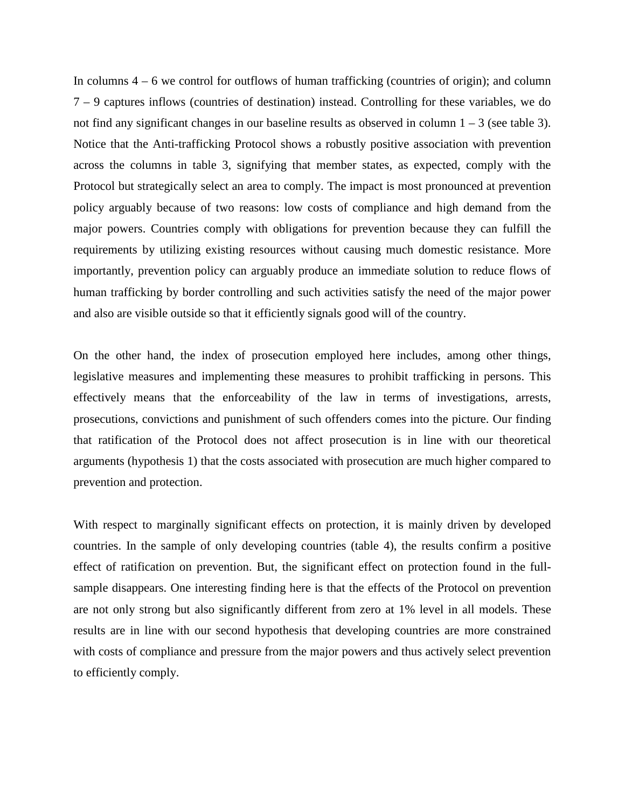In columns  $4 - 6$  we control for outflows of human trafficking (countries of origin); and column 7 – 9 captures inflows (countries of destination) instead. Controlling for these variables, we do not find any significant changes in our baseline results as observed in column  $1 - 3$  (see table 3). Notice that the Anti-trafficking Protocol shows a robustly positive association with prevention across the columns in table 3, signifying that member states, as expected, comply with the Protocol but strategically select an area to comply. The impact is most pronounced at prevention policy arguably because of two reasons: low costs of compliance and high demand from the major powers. Countries comply with obligations for prevention because they can fulfill the requirements by utilizing existing resources without causing much domestic resistance. More importantly, prevention policy can arguably produce an immediate solution to reduce flows of human trafficking by border controlling and such activities satisfy the need of the major power and also are visible outside so that it efficiently signals good will of the country.

On the other hand, the index of prosecution employed here includes, among other things, legislative measures and implementing these measures to prohibit trafficking in persons. This effectively means that the enforceability of the law in terms of investigations, arrests, prosecutions, convictions and punishment of such offenders comes into the picture. Our finding that ratification of the Protocol does not affect prosecution is in line with our theoretical arguments (hypothesis 1) that the costs associated with prosecution are much higher compared to prevention and protection.

With respect to marginally significant effects on protection, it is mainly driven by developed countries. In the sample of only developing countries (table 4), the results confirm a positive effect of ratification on prevention. But, the significant effect on protection found in the fullsample disappears. One interesting finding here is that the effects of the Protocol on prevention are not only strong but also significantly different from zero at 1% level in all models. These results are in line with our second hypothesis that developing countries are more constrained with costs of compliance and pressure from the major powers and thus actively select prevention to efficiently comply.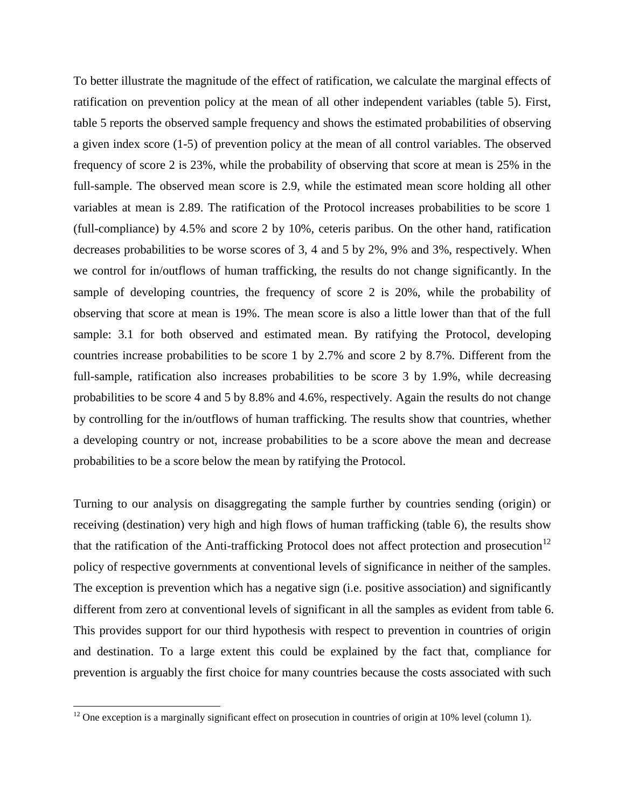To better illustrate the magnitude of the effect of ratification, we calculate the marginal effects of ratification on prevention policy at the mean of all other independent variables (table 5). First, table 5 reports the observed sample frequency and shows the estimated probabilities of observing a given index score (1-5) of prevention policy at the mean of all control variables. The observed frequency of score 2 is 23%, while the probability of observing that score at mean is 25% in the full-sample. The observed mean score is 2.9, while the estimated mean score holding all other variables at mean is 2.89. The ratification of the Protocol increases probabilities to be score 1 (full-compliance) by 4.5% and score 2 by 10%, ceteris paribus. On the other hand, ratification decreases probabilities to be worse scores of 3, 4 and 5 by 2%, 9% and 3%, respectively. When we control for in/outflows of human trafficking, the results do not change significantly. In the sample of developing countries, the frequency of score 2 is 20%, while the probability of observing that score at mean is 19%. The mean score is also a little lower than that of the full sample: 3.1 for both observed and estimated mean. By ratifying the Protocol, developing countries increase probabilities to be score 1 by 2.7% and score 2 by 8.7%. Different from the full-sample, ratification also increases probabilities to be score 3 by 1.9%, while decreasing probabilities to be score 4 and 5 by 8.8% and 4.6%, respectively. Again the results do not change by controlling for the in/outflows of human trafficking. The results show that countries, whether a developing country or not, increase probabilities to be a score above the mean and decrease probabilities to be a score below the mean by ratifying the Protocol.

Turning to our analysis on disaggregating the sample further by countries sending (origin) or receiving (destination) very high and high flows of human trafficking (table 6), the results show that the ratification of the Anti-trafficking Protocol does not affect protection and prosecution<sup>[12](#page-21-0)</sup> policy of respective governments at conventional levels of significance in neither of the samples. The exception is prevention which has a negative sign (i.e. positive association) and significantly different from zero at conventional levels of significant in all the samples as evident from table 6. This provides support for our third hypothesis with respect to prevention in countries of origin and destination. To a large extent this could be explained by the fact that, compliance for prevention is arguably the first choice for many countries because the costs associated with such

l

<span id="page-21-0"></span> $12$  One exception is a marginally significant effect on prosecution in countries of origin at 10% level (column 1).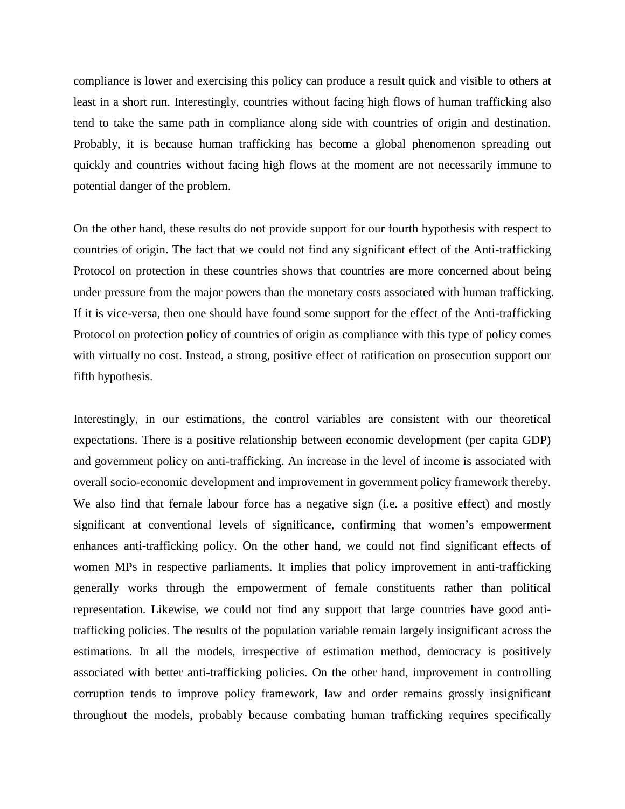compliance is lower and exercising this policy can produce a result quick and visible to others at least in a short run. Interestingly, countries without facing high flows of human trafficking also tend to take the same path in compliance along side with countries of origin and destination. Probably, it is because human trafficking has become a global phenomenon spreading out quickly and countries without facing high flows at the moment are not necessarily immune to potential danger of the problem.

On the other hand, these results do not provide support for our fourth hypothesis with respect to countries of origin. The fact that we could not find any significant effect of the Anti-trafficking Protocol on protection in these countries shows that countries are more concerned about being under pressure from the major powers than the monetary costs associated with human trafficking. If it is vice-versa, then one should have found some support for the effect of the Anti-trafficking Protocol on protection policy of countries of origin as compliance with this type of policy comes with virtually no cost. Instead, a strong, positive effect of ratification on prosecution support our fifth hypothesis.

Interestingly, in our estimations, the control variables are consistent with our theoretical expectations. There is a positive relationship between economic development (per capita GDP) and government policy on anti-trafficking. An increase in the level of income is associated with overall socio-economic development and improvement in government policy framework thereby. We also find that female labour force has a negative sign (i.e. a positive effect) and mostly significant at conventional levels of significance, confirming that women's empowerment enhances anti-trafficking policy. On the other hand, we could not find significant effects of women MPs in respective parliaments. It implies that policy improvement in anti-trafficking generally works through the empowerment of female constituents rather than political representation. Likewise, we could not find any support that large countries have good antitrafficking policies. The results of the population variable remain largely insignificant across the estimations. In all the models, irrespective of estimation method, democracy is positively associated with better anti-trafficking policies. On the other hand, improvement in controlling corruption tends to improve policy framework, law and order remains grossly insignificant throughout the models, probably because combating human trafficking requires specifically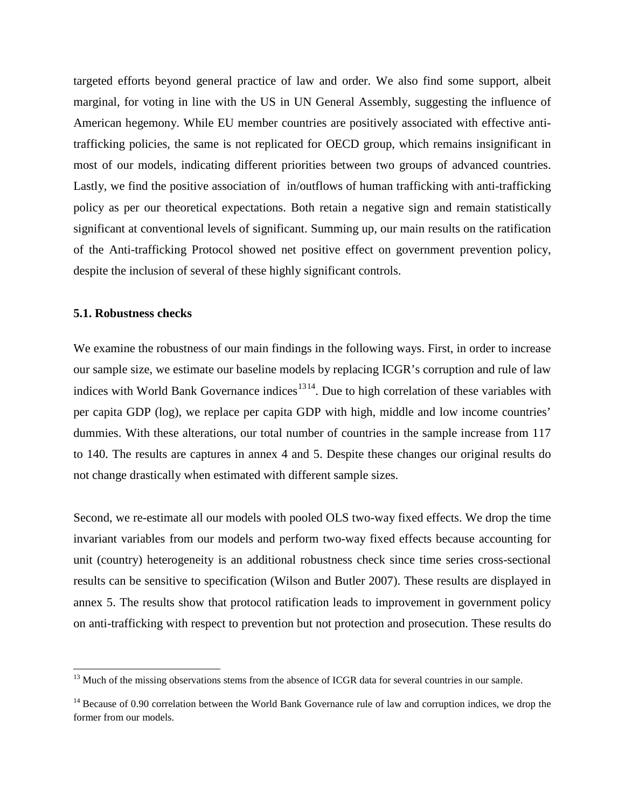targeted efforts beyond general practice of law and order. We also find some support, albeit marginal, for voting in line with the US in UN General Assembly, suggesting the influence of American hegemony. While EU member countries are positively associated with effective antitrafficking policies, the same is not replicated for OECD group, which remains insignificant in most of our models, indicating different priorities between two groups of advanced countries. Lastly, we find the positive association of in/outflows of human trafficking with anti-trafficking policy as per our theoretical expectations. Both retain a negative sign and remain statistically significant at conventional levels of significant. Summing up, our main results on the ratification of the Anti-trafficking Protocol showed net positive effect on government prevention policy, despite the inclusion of several of these highly significant controls.

#### **5.1. Robustness checks**

 $\overline{\phantom{0}}$ 

We examine the robustness of our main findings in the following ways. First, in order to increase our sample size, we estimate our baseline models by replacing ICGR's corruption and rule of law indices with World Bank Governance indices<sup>[13](#page-23-0)[14](#page-23-1)</sup>. Due to high correlation of these variables with per capita GDP (log), we replace per capita GDP with high, middle and low income countries' dummies. With these alterations, our total number of countries in the sample increase from 117 to 140. The results are captures in annex 4 and 5. Despite these changes our original results do not change drastically when estimated with different sample sizes.

Second, we re-estimate all our models with pooled OLS two-way fixed effects. We drop the time invariant variables from our models and perform two-way fixed effects because accounting for unit (country) heterogeneity is an additional robustness check since time series cross-sectional results can be sensitive to specification (Wilson and Butler 2007). These results are displayed in annex 5. The results show that protocol ratification leads to improvement in government policy on anti-trafficking with respect to prevention but not protection and prosecution. These results do

<span id="page-23-0"></span><sup>&</sup>lt;sup>13</sup> Much of the missing observations stems from the absence of ICGR data for several countries in our sample.

<span id="page-23-1"></span><sup>&</sup>lt;sup>14</sup> Because of 0.90 correlation between the World Bank Governance rule of law and corruption indices, we drop the former from our models.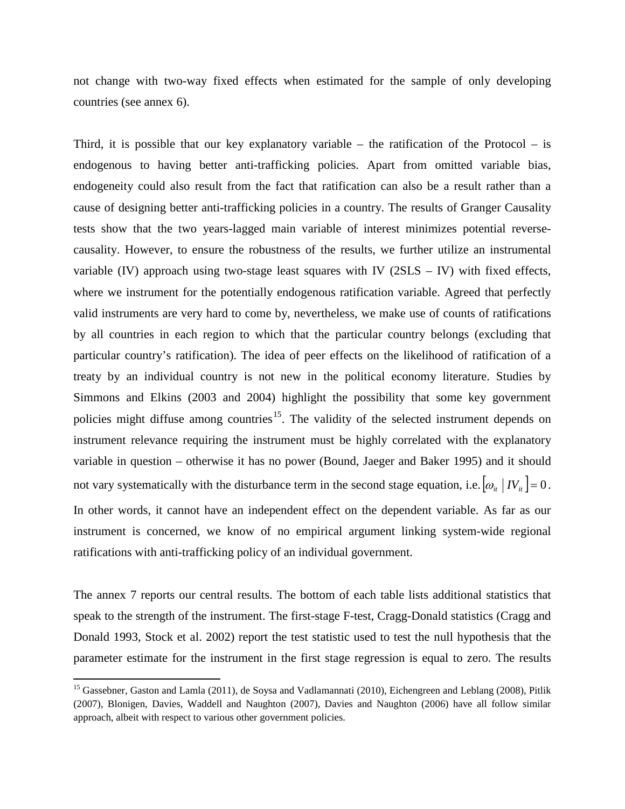not change with two-way fixed effects when estimated for the sample of only developing countries (see annex 6).

Third, it is possible that our key explanatory variable – the ratification of the Protocol – is endogenous to having better anti-trafficking policies. Apart from omitted variable bias, endogeneity could also result from the fact that ratification can also be a result rather than a cause of designing better anti-trafficking policies in a country. The results of Granger Causality tests show that the two years-lagged main variable of interest minimizes potential reversecausality. However, to ensure the robustness of the results, we further utilize an instrumental variable (IV) approach using two-stage least squares with IV ( $2SLS - IV$ ) with fixed effects, where we instrument for the potentially endogenous ratification variable. Agreed that perfectly valid instruments are very hard to come by, nevertheless, we make use of counts of ratifications by all countries in each region to which that the particular country belongs (excluding that particular country's ratification). The idea of peer effects on the likelihood of ratification of a treaty by an individual country is not new in the political economy literature. Studies by Simmons and Elkins (2003 and 2004) highlight the possibility that some key government policies might diffuse among countries<sup>[15](#page-24-0)</sup>. The validity of the selected instrument depends on not vary systematically with the disturbance term in the second stage equation, i.e.  $\left[\omega_{it} \mid IV_{it}\right] = 0$ . instrument relevance requiring the instrument must be highly correlated with the explanatory variable in question – otherwise it has no power (Bound, Jaeger and Baker 1995) and it should In other words, it cannot have an independent effect on the dependent variable. As far as our instrument is concerned, we know of no empirical argument linking system-wide regional ratifications with anti-trafficking policy of an individual government.

The annex 7 reports our central results. The bottom of each table lists additional statistics that speak to the strength of the instrument. The first-stage F-test, Cragg-Donald statistics (Cragg and Donald 1993, Stock et al. 2002) report the test statistic used to test the null hypothesis that the parameter estimate for the instrument in the first stage regression is equal to zero. The results

ı

<span id="page-24-0"></span><sup>&</sup>lt;sup>15</sup> Gassebner, Gaston and Lamla (2011), de Soysa and Vadlamannati (2010), Eichengreen and Leblang (2008), Pitlik (2007), Blonigen, Davies, Waddell and Naughton (2007), Davies and Naughton (2006) have all follow similar approach, albeit with respect to various other government policies.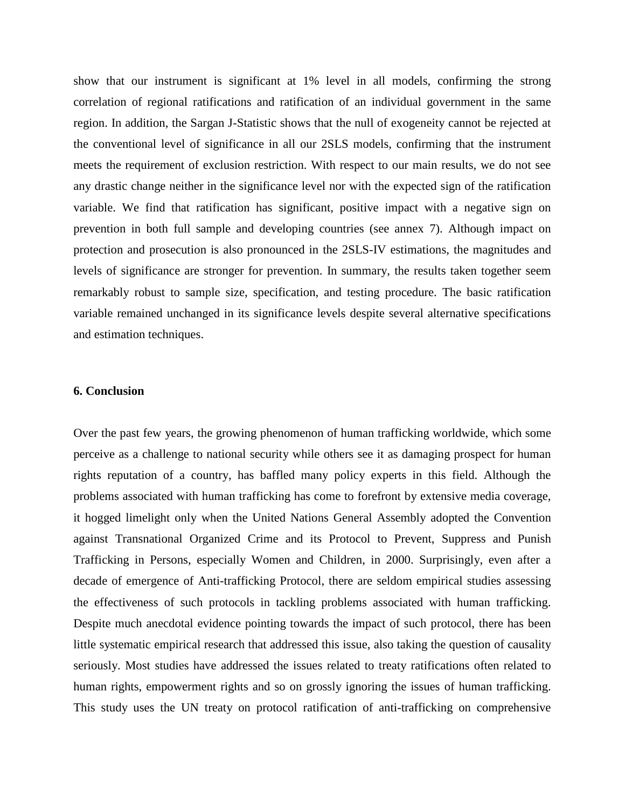show that our instrument is significant at 1% level in all models, confirming the strong correlation of regional ratifications and ratification of an individual government in the same region. In addition, the Sargan J-Statistic shows that the null of exogeneity cannot be rejected at the conventional level of significance in all our 2SLS models, confirming that the instrument meets the requirement of exclusion restriction. With respect to our main results, we do not see any drastic change neither in the significance level nor with the expected sign of the ratification variable. We find that ratification has significant, positive impact with a negative sign on prevention in both full sample and developing countries (see annex 7). Although impact on protection and prosecution is also pronounced in the 2SLS-IV estimations, the magnitudes and levels of significance are stronger for prevention. In summary, the results taken together seem remarkably robust to sample size, specification, and testing procedure. The basic ratification variable remained unchanged in its significance levels despite several alternative specifications and estimation techniques.

#### **6. Conclusion**

Over the past few years, the growing phenomenon of human trafficking worldwide, which some perceive as a challenge to national security while others see it as damaging prospect for human rights reputation of a country, has baffled many policy experts in this field. Although the problems associated with human trafficking has come to forefront by extensive media coverage, it hogged limelight only when the United Nations General Assembly adopted the Convention against Transnational Organized Crime and its Protocol to Prevent, Suppress and Punish Trafficking in Persons, especially Women and Children, in 2000. Surprisingly, even after a decade of emergence of Anti-trafficking Protocol, there are seldom empirical studies assessing the effectiveness of such protocols in tackling problems associated with human trafficking. Despite much anecdotal evidence pointing towards the impact of such protocol, there has been little systematic empirical research that addressed this issue, also taking the question of causality seriously. Most studies have addressed the issues related to treaty ratifications often related to human rights, empowerment rights and so on grossly ignoring the issues of human trafficking. This study uses the UN treaty on protocol ratification of anti-trafficking on comprehensive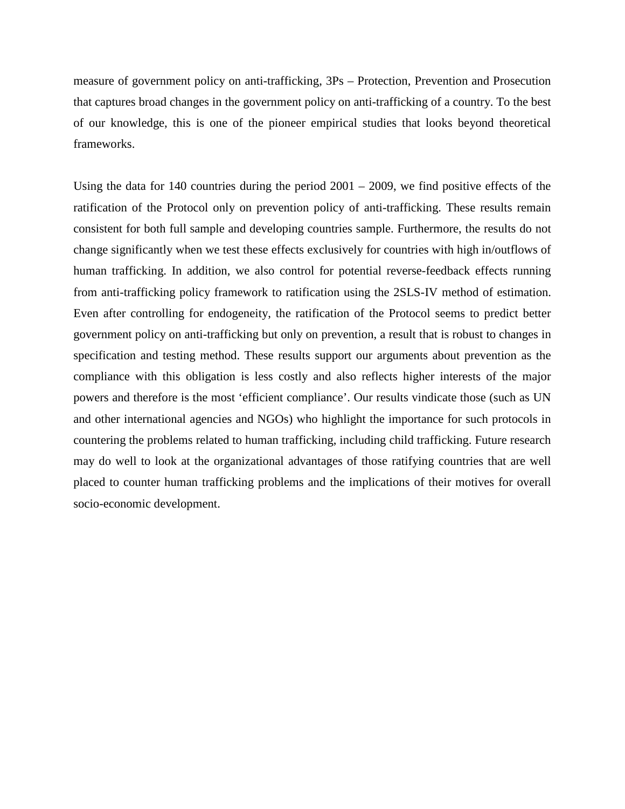measure of government policy on anti-trafficking, 3Ps – Protection, Prevention and Prosecution that captures broad changes in the government policy on anti-trafficking of a country. To the best of our knowledge, this is one of the pioneer empirical studies that looks beyond theoretical frameworks.

Using the data for 140 countries during the period 2001 – 2009, we find positive effects of the ratification of the Protocol only on prevention policy of anti-trafficking. These results remain consistent for both full sample and developing countries sample. Furthermore, the results do not change significantly when we test these effects exclusively for countries with high in/outflows of human trafficking. In addition, we also control for potential reverse-feedback effects running from anti-trafficking policy framework to ratification using the 2SLS-IV method of estimation. Even after controlling for endogeneity, the ratification of the Protocol seems to predict better government policy on anti-trafficking but only on prevention, a result that is robust to changes in specification and testing method. These results support our arguments about prevention as the compliance with this obligation is less costly and also reflects higher interests of the major powers and therefore is the most 'efficient compliance'. Our results vindicate those (such as UN and other international agencies and NGOs) who highlight the importance for such protocols in countering the problems related to human trafficking, including child trafficking. Future research may do well to look at the organizational advantages of those ratifying countries that are well placed to counter human trafficking problems and the implications of their motives for overall socio-economic development.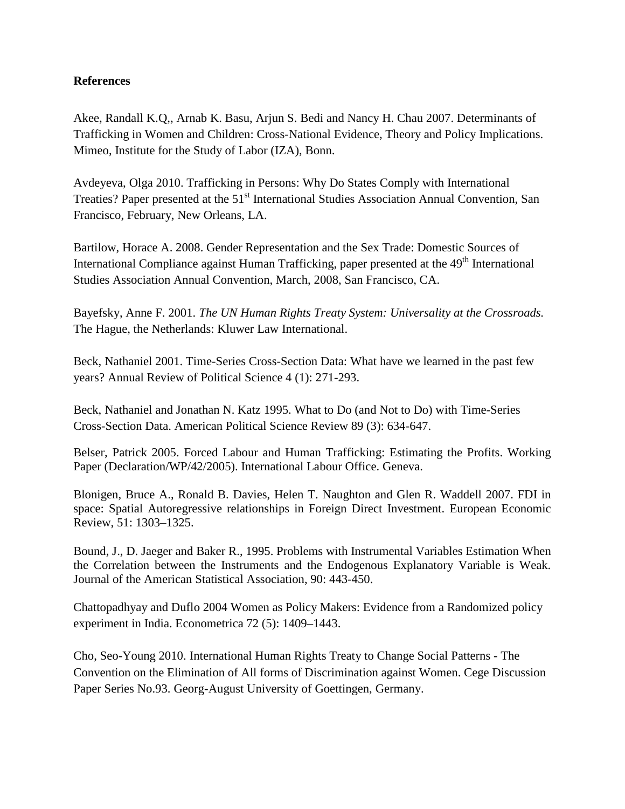## **References**

Akee, Randall K.Q,, Arnab K. Basu, Arjun S. Bedi and Nancy H. Chau 2007. Determinants of Trafficking in Women and Children: Cross-National Evidence, Theory and Policy Implications. Mimeo, Institute for the Study of Labor (IZA), Bonn.

Avdeyeva, Olga 2010. Trafficking in Persons: Why Do States Comply with International Treaties? Paper presented at the 51<sup>st</sup> International Studies Association Annual Convention, San Francisco, February, New Orleans, LA.

Bartilow, Horace A. 2008. Gender Representation and the Sex Trade: Domestic Sources of International Compliance against Human Trafficking, paper presented at the 49<sup>th</sup> International Studies Association Annual Convention, March, 2008, San Francisco, CA.

Bayefsky, Anne F. 2001. *The UN Human Rights Treaty System: Universality at the Crossroads.* The Hague, the Netherlands: Kluwer Law International.

Beck, Nathaniel 2001. Time-Series Cross-Section Data: What have we learned in the past few years? Annual Review of Political Science 4 (1): 271-293.

Beck, Nathaniel and Jonathan N. Katz 1995. What to Do (and Not to Do) with Time-Series Cross-Section Data. American Political Science Review 89 (3): 634-647.

Belser, Patrick 2005. Forced Labour and Human Trafficking: Estimating the Profits. Working Paper (Declaration/WP/42/2005). International Labour Office. Geneva.

Blonigen, Bruce A., Ronald B. Davies, Helen T. Naughton and Glen R. Waddell 2007. FDI in space: Spatial Autoregressive relationships in Foreign Direct Investment. European Economic Review, 51: 1303–1325.

Bound, J., D. Jaeger and Baker R., 1995. Problems with Instrumental Variables Estimation When the Correlation between the Instruments and the Endogenous Explanatory Variable is Weak. Journal of the American Statistical Association, 90: 443-450.

Chattopadhyay and Duflo 2004 Women as Policy Makers: Evidence from a Randomized policy experiment in India. Econometrica 72 (5): 1409–1443.

Cho, Seo-Young 2010. International Human Rights Treaty to Change Social Patterns - The Convention on the Elimination of All forms of Discrimination against Women. Cege Discussion Paper Series No.93. Georg-August University of Goettingen, Germany.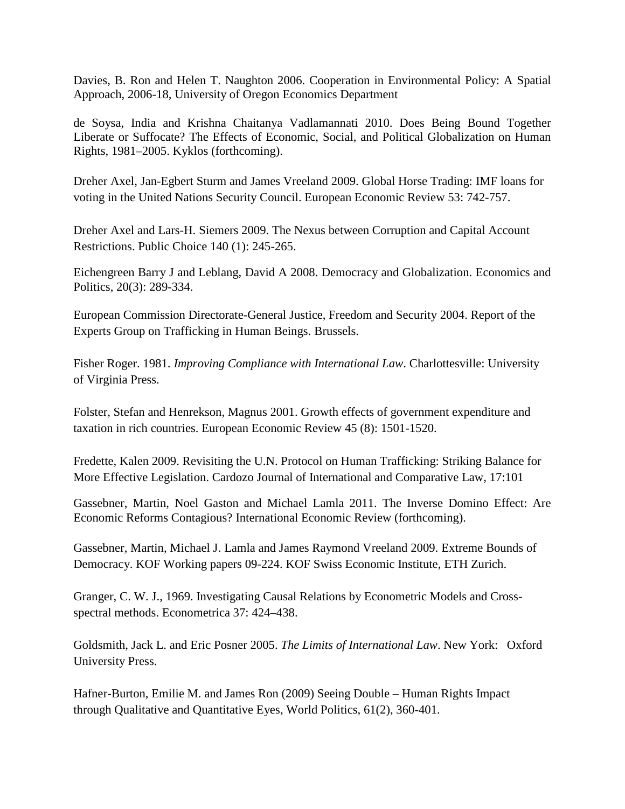Davies, B. Ron and Helen T. Naughton 2006. Cooperation in Environmental Policy: A Spatial Approach, 2006-18, University of Oregon Economics Department

de Soysa, India and Krishna Chaitanya Vadlamannati 2010. Does Being Bound Together Liberate or Suffocate? The Effects of Economic, Social, and Political Globalization on Human Rights, 1981–2005. Kyklos (forthcoming).

Dreher Axel, Jan-Egbert Sturm and James Vreeland 2009. Global Horse Trading: IMF loans for voting in the United Nations Security Council. European Economic Review 53: 742-757.

Dreher Axel and Lars-H. Siemers 2009. The Nexus between Corruption and Capital Account Restrictions. Public Choice 140 (1): 245-265.

Eichengreen Barry J and Leblang, David A 2008. Democracy and Globalization. Economics and Politics, 20(3): 289-334.

European Commission Directorate-General Justice, Freedom and Security 2004. Report of the Experts Group on Trafficking in Human Beings. Brussels.

Fisher Roger. 1981. *Improving Compliance with International Law*. Charlottesville: University of Virginia Press.

Folster, Stefan and Henrekson, Magnus 2001. Growth effects of government expenditure and taxation in rich countries. European Economic Review 45 (8): 1501-1520.

Fredette, Kalen 2009. Revisiting the U.N. Protocol on Human Trafficking: Striking Balance for More Effective Legislation. Cardozo Journal of International and Comparative Law, 17:101

Gassebner, Martin, Noel Gaston and Michael Lamla 2011. The Inverse Domino Effect: Are Economic Reforms Contagious? International Economic Review (forthcoming).

Gassebner, Martin, Michael J. Lamla and James Raymond Vreeland 2009. Extreme Bounds of Democracy. KOF Working papers 09-224. KOF Swiss Economic Institute, ETH Zurich.

Granger, C. W. J., 1969. Investigating Causal Relations by Econometric Models and Crossspectral methods. Econometrica 37: 424–438.

Goldsmith, Jack L. and Eric Posner 2005. *The Limits of International Law*. New York: Oxford University Press.

Hafner-Burton, Emilie M. and James Ron (2009) Seeing Double – Human Rights Impact through Qualitative and Quantitative Eyes, World Politics, 61(2), 360-401.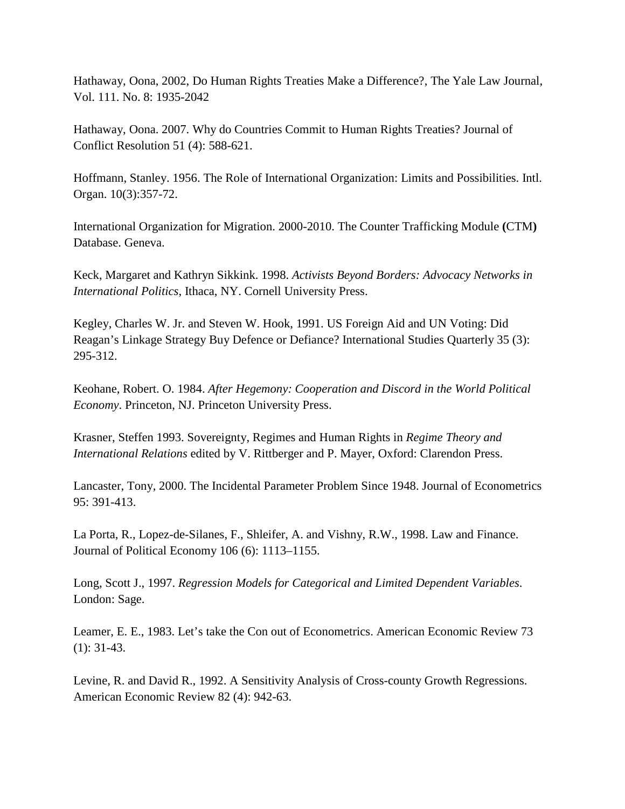Hathaway, Oona, 2002, Do Human Rights Treaties Make a Difference?, The Yale Law Journal, Vol. 111. No. 8: 1935-2042

Hathaway, Oona. 2007. Why do Countries Commit to Human Rights Treaties? Journal of Conflict Resolution 51 (4): 588-621.

Hoffmann, Stanley. 1956. The Role of International Organization: Limits and Possibilities. Intl. Organ. 10(3):357-72.

International Organization for Migration. 2000-2010. The Counter Trafficking Module **(**CTM**)** Database. Geneva.

Keck, Margaret and Kathryn Sikkink. 1998. *Activists Beyond Borders: Advocacy Networks in International Politics*, Ithaca, NY. Cornell University Press.

Kegley, Charles W. Jr. and Steven W. Hook, 1991. US Foreign Aid and UN Voting: Did Reagan's Linkage Strategy Buy Defence or Defiance? International Studies Quarterly 35 (3): 295-312.

Keohane, Robert. O. 1984. *After Hegemony: Cooperation and Discord in the World Political Economy*. Princeton, NJ. Princeton University Press.

Krasner, Steffen 1993. Sovereignty, Regimes and Human Rights in *Regime Theory and International Relations* edited by V. Rittberger and P. Mayer, Oxford: Clarendon Press.

Lancaster, Tony, 2000. The Incidental Parameter Problem Since 1948. Journal of Econometrics 95: 391-413.

La Porta, R., Lopez-de-Silanes, F., Shleifer, A. and Vishny, R.W., 1998. Law and Finance. Journal of Political Economy 106 (6): 1113–1155.

Long, Scott J., 1997. *Regression Models for Categorical and Limited Dependent Variables*. London: Sage.

Leamer, E. E., 1983. Let's take the Con out of Econometrics. American Economic Review 73 (1): 31-43.

Levine, R. and David R., 1992. A Sensitivity Analysis of Cross-county Growth Regressions. American Economic Review 82 (4): 942-63.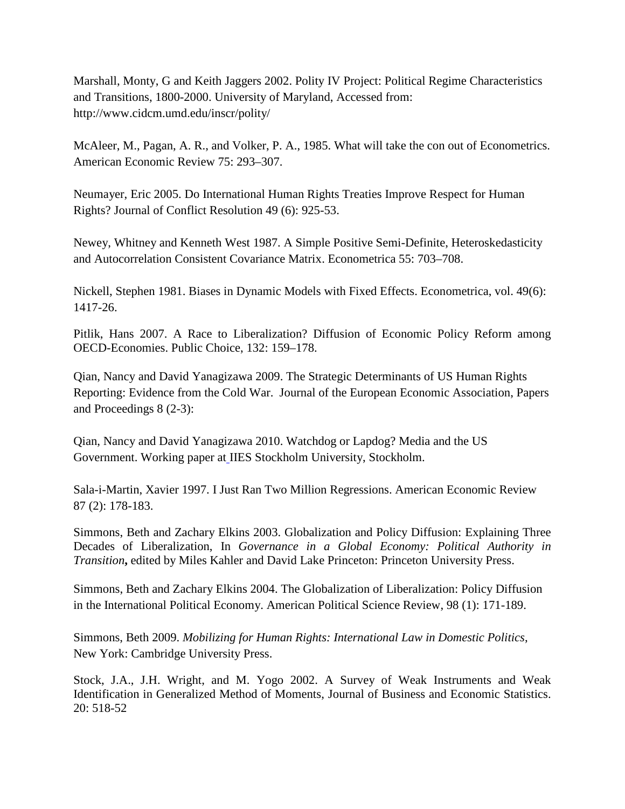Marshall, Monty, G and Keith Jaggers 2002. Polity IV Project: Political Regime Characteristics and Transitions, 1800-2000. University of Maryland, Accessed from: http://www.cidcm.umd.edu/inscr/polity/

McAleer, M., Pagan, A. R., and Volker, P. A., 1985. What will take the con out of Econometrics. American Economic Review 75: 293–307.

Neumayer, Eric 2005. Do International Human Rights Treaties Improve Respect for Human Rights? Journal of Conflict Resolution 49 (6): 925-53.

Newey, Whitney and Kenneth West 1987. A Simple Positive Semi-Definite, Heteroskedasticity and Autocorrelation Consistent Covariance Matrix. Econometrica 55: 703–708.

Nickell, Stephen 1981. Biases in Dynamic Models with Fixed Effects. Econometrica, vol. 49(6): 1417-26.

Pitlik, Hans 2007. A Race to Liberalization? Diffusion of Economic Policy Reform among OECD-Economies. Public Choice, 132: 159–178.

Qian, Nancy and David Yanagizawa 2009. The Strategic Determinants of US Human Rights Reporting: Evidence from the Cold War. Journal of the European Economic Association, Papers and Proceedings 8 (2-3):

Qian, Nancy and David Yanagizawa 2010. Watchdog or Lapdog? Media and the US Government. Working paper at IIES Stockholm University, Stockholm.

Sala-i-Martin, Xavier 1997. I Just Ran Two Million Regressions. American Economic Review 87 (2): 178-183.

Simmons, Beth and Zachary Elkins 2003. Globalization and Policy Diffusion: Explaining Three Decades of Liberalization, In *Governance in a Global Economy: Political Authority in Transition***,** edited by Miles Kahler and David Lake Princeton: Princeton University Press.

Simmons, Beth and Zachary Elkins 2004. The Globalization of Liberalization: Policy Diffusion in the International Political Economy. American Political Science Review, 98 (1): 171-189.

Simmons, Beth 2009. *Mobilizing for Human Rights: International Law in Domestic Politics*, New York: Cambridge University Press.

Stock, J.A., J.H. Wright, and M. Yogo 2002. A Survey of Weak Instruments and Weak Identification in Generalized Method of Moments, Journal of Business and Economic Statistics. 20: 518-52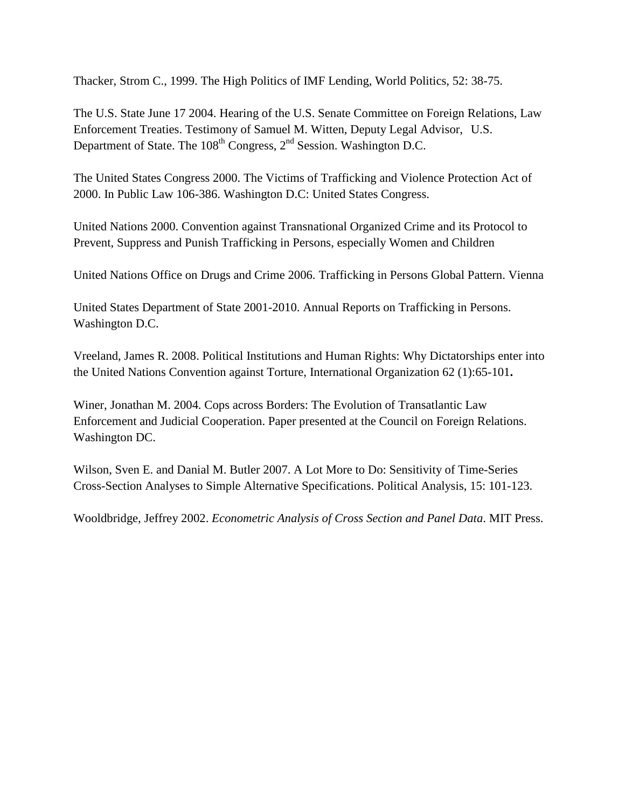Thacker, Strom C., 1999. The High Politics of IMF Lending, World Politics, 52: 38-75.

The U.S. State June 17 2004. Hearing of the U.S. Senate Committee on Foreign Relations, Law Enforcement Treaties. Testimony of Samuel M. Witten, Deputy Legal Advisor, U.S. Department of State. The  $108<sup>th</sup>$  Congress,  $2<sup>nd</sup>$  Session. Washington D.C.

The United States Congress 2000. The Victims of Trafficking and Violence Protection Act of 2000. In Public Law 106-386. Washington D.C: United States Congress.

United Nations 2000. Convention against Transnational Organized Crime and its Protocol to Prevent, Suppress and Punish Trafficking in Persons, especially Women and Children

United Nations Office on Drugs and Crime 2006. Trafficking in Persons Global Pattern. Vienna

United States Department of State 2001-2010. Annual Reports on Trafficking in Persons. Washington D.C.

Vreeland, James R. 2008. Political Institutions and Human Rights: Why Dictatorships enter into the United Nations Convention against Torture, [International Organization](http://journals.cambridge.org/action/displayJournal?jid=INO) 62 (1):65-101**.**

Winer, Jonathan M. 2004. Cops across Borders: The Evolution of Transatlantic Law Enforcement and Judicial Cooperation. Paper presented at the Council on Foreign Relations. Washington DC.

Wilson, Sven E. and Danial M. Butler 2007. A Lot More to Do: Sensitivity of Time-Series Cross-Section Analyses to Simple Alternative Specifications. Political Analysis, 15: 101-123.

Wooldbridge, Jeffrey 2002. *Econometric Analysis of Cross Section and Panel Data*. MIT Press.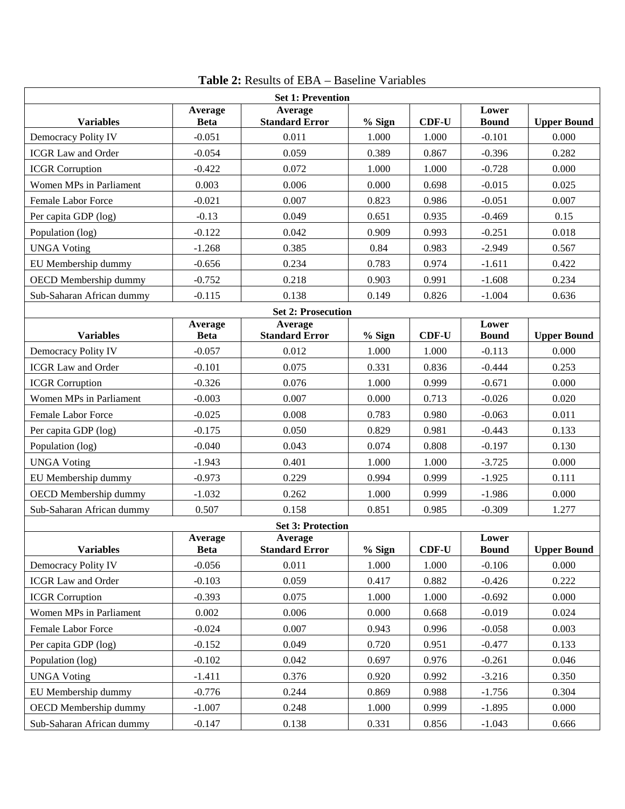|                           |                        | <b>Set 1: Prevention</b>         |        |              |                       |                    |
|---------------------------|------------------------|----------------------------------|--------|--------------|-----------------------|--------------------|
| <b>Variables</b>          | Average<br><b>Beta</b> | Average<br><b>Standard Error</b> | % Sign | <b>CDF-U</b> | Lower<br><b>Bound</b> | <b>Upper Bound</b> |
| Democracy Polity IV       | $-0.051$               | 0.011                            | 1.000  | 1.000        | $-0.101$              | 0.000              |
| <b>ICGR Law and Order</b> | $-0.054$               | 0.059                            | 0.389  | 0.867        | $-0.396$              | 0.282              |
| <b>ICGR</b> Corruption    | $-0.422$               | 0.072                            | 1.000  | 1.000        | $-0.728$              | 0.000              |
| Women MPs in Parliament   | 0.003                  | 0.006                            | 0.000  | 0.698        | $-0.015$              | 0.025              |
| <b>Female Labor Force</b> | $-0.021$               | 0.007                            | 0.823  | 0.986        | $-0.051$              | 0.007              |
| Per capita GDP (log)      | $-0.13$                | 0.049                            | 0.651  | 0.935        | $-0.469$              | 0.15               |
| Population (log)          | $-0.122$               | 0.042                            | 0.909  | 0.993        | $-0.251$              | 0.018              |
| <b>UNGA Voting</b>        | $-1.268$               | 0.385                            | 0.84   | 0.983        | $-2.949$              | 0.567              |
| EU Membership dummy       | $-0.656$               | 0.234                            | 0.783  | 0.974        | $-1.611$              | 0.422              |
| OECD Membership dummy     | $-0.752$               | 0.218                            | 0.903  | 0.991        | $-1.608$              | 0.234              |
| Sub-Saharan African dummy | $-0.115$               | 0.138                            | 0.149  | 0.826        | $-1.004$              | 0.636              |
|                           |                        | <b>Set 2: Prosecution</b>        |        |              |                       |                    |
| <b>Variables</b>          | Average<br><b>Beta</b> | Average<br><b>Standard Error</b> | % Sign | <b>CDF-U</b> | Lower<br><b>Bound</b> | <b>Upper Bound</b> |
| Democracy Polity IV       | $-0.057$               | 0.012                            | 1.000  | 1.000        | $-0.113$              | 0.000              |
| <b>ICGR Law and Order</b> | $-0.101$               | 0.075                            | 0.331  | 0.836        | $-0.444$              | 0.253              |
| <b>ICGR</b> Corruption    | $-0.326$               | 0.076                            | 1.000  | 0.999        | $-0.671$              | 0.000              |
| Women MPs in Parliament   | $-0.003$               | 0.007                            | 0.000  | 0.713        | $-0.026$              | 0.020              |
| <b>Female Labor Force</b> | $-0.025$               | 0.008                            | 0.783  | 0.980        | $-0.063$              | 0.011              |
| Per capita GDP (log)      | $-0.175$               | 0.050                            | 0.829  | 0.981        | $-0.443$              | 0.133              |
| Population (log)          | $-0.040$               | 0.043                            | 0.074  | 0.808        | $-0.197$              | 0.130              |
| <b>UNGA Voting</b>        | $-1.943$               | 0.401                            | 1.000  | 1.000        | $-3.725$              | 0.000              |
| EU Membership dummy       | $-0.973$               | 0.229                            | 0.994  | 0.999        | $-1.925$              | 0.111              |
| OECD Membership dummy     | $-1.032$               | 0.262                            | 1.000  | 0.999        | $-1.986$              | 0.000              |
| Sub-Saharan African dummy | 0.507                  | 0.158                            | 0.851  | 0.985        | $-0.309$              | 1.277              |
|                           |                        | <b>Set 3: Protection</b>         |        |              |                       |                    |
| <b>Variables</b>          | Average<br><b>Beta</b> | Average<br><b>Standard Error</b> | % Sign | $CDF-U$      | Lower<br><b>Bound</b> | <b>Upper Bound</b> |
| Democracy Polity IV       | $-0.056$               | 0.011                            | 1.000  | 1.000        | $-0.106$              | 0.000              |
| <b>ICGR Law and Order</b> | $-0.103$               | 0.059                            | 0.417  | 0.882        | $-0.426$              | 0.222              |
| <b>ICGR</b> Corruption    | $-0.393$               | 0.075                            | 1.000  | 1.000        | $-0.692$              | 0.000              |
| Women MPs in Parliament   | 0.002                  | 0.006                            | 0.000  | 0.668        | $-0.019$              | 0.024              |
| Female Labor Force        | $-0.024$               | 0.007                            | 0.943  | 0.996        | $-0.058$              | 0.003              |
| Per capita GDP (log)      | $-0.152$               | 0.049                            | 0.720  | 0.951        | $-0.477$              | 0.133              |
| Population (log)          | $-0.102$               | 0.042                            | 0.697  | 0.976        | $-0.261$              | 0.046              |
| <b>UNGA Voting</b>        | $-1.411$               | 0.376                            | 0.920  | 0.992        | $-3.216$              | 0.350              |
| EU Membership dummy       | $-0.776$               | 0.244                            | 0.869  | 0.988        | $-1.756$              | 0.304              |
| OECD Membership dummy     | $-1.007$               | 0.248                            | 1.000  | 0.999        | $-1.895$              | 0.000              |
| Sub-Saharan African dummy | $-0.147$               | 0.138                            | 0.331  | 0.856        | $-1.043$              | 0.666              |

| <b>Table 2:</b> Results of EBA – Baseline Variables |  |
|-----------------------------------------------------|--|
|-----------------------------------------------------|--|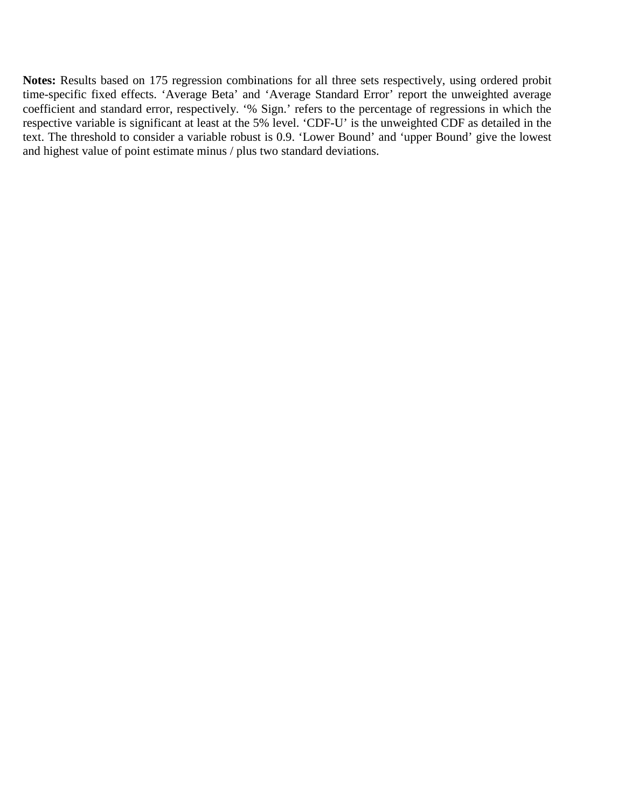**Notes:** Results based on 175 regression combinations for all three sets respectively, using ordered probit time-specific fixed effects. 'Average Beta' and 'Average Standard Error' report the unweighted average coefficient and standard error, respectively. '% Sign.' refers to the percentage of regressions in which the respective variable is significant at least at the 5% level. 'CDF-U' is the unweighted CDF as detailed in the text. The threshold to consider a variable robust is 0.9. 'Lower Bound' and 'upper Bound' give the lowest and highest value of point estimate minus / plus two standard deviations.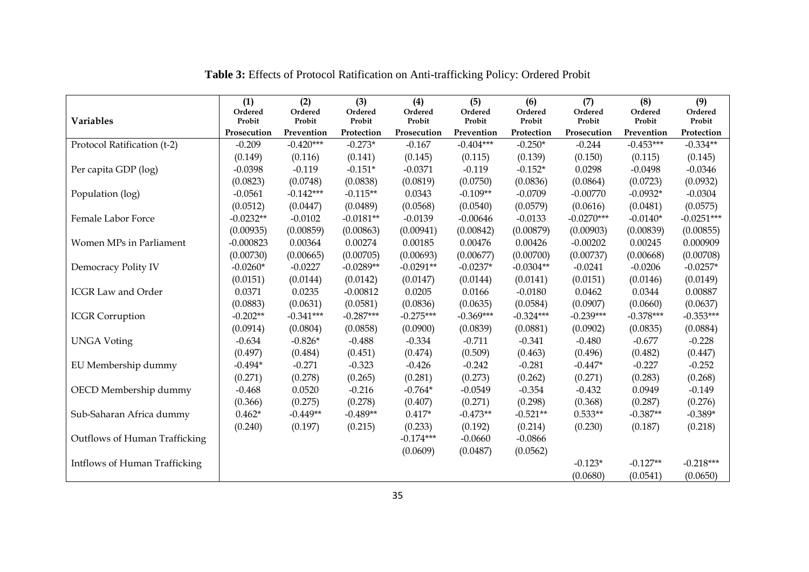| <b>Variables</b>              | (1)<br>Ordered<br>Probit | (2)<br>Ordered<br>Probit | (3)<br>Ordered<br>Probit | (4)<br>Ordered<br>Probit | (5)<br>Ordered<br>Probit | (6)<br>Ordered<br>Probit | (7)<br>Ordered<br>Probit | (8)<br>Ordered<br>Probit | (9)<br>Ordered<br>Probit |
|-------------------------------|--------------------------|--------------------------|--------------------------|--------------------------|--------------------------|--------------------------|--------------------------|--------------------------|--------------------------|
|                               | Prosecution              | Prevention               | Protection               | Prosecution              | Prevention               | Protection               | Prosecution              | Prevention               | Protection               |
| Protocol Ratification (t-2)   | $-0.209$                 | $-0.420***$              | $-0.273*$                | $-0.167$                 | $-0.404***$              | $-0.250*$                | $-0.244$                 | $-0.453***$              | $-0.334**$               |
|                               | (0.149)                  | (0.116)                  | (0.141)                  | (0.145)                  | (0.115)                  | (0.139)                  | (0.150)                  | (0.115)                  | (0.145)                  |
| Per capita GDP (log)          | $-0.0398$                | $-0.119$                 | $-0.151*$                | $-0.0371$                | $-0.119$                 | $-0.152*$                | 0.0298                   | $-0.0498$                | $-0.0346$                |
|                               | (0.0823)                 | (0.0748)                 | (0.0838)                 | (0.0819)                 | (0.0750)                 | (0.0836)                 | (0.0864)                 | (0.0723)                 | (0.0932)                 |
| Population (log)              | $-0.0561$                | $-0.142***$              | $-0.115**$               | 0.0343                   | $-0.109**$               | $-0.0709$                | $-0.00770$               | $-0.0932*$               | $-0.0304$                |
|                               | (0.0512)                 | (0.0447)                 | (0.0489)                 | (0.0568)                 | (0.0540)                 | (0.0579)                 | (0.0616)                 | (0.0481)                 | (0.0575)                 |
| Female Labor Force            | $-0.0232**$              | $-0.0102$                | $-0.0181**$              | $-0.0139$                | $-0.00646$               | $-0.0133$                | $-0.0270***$             | $-0.0140*$               | $-0.0251***$             |
|                               | (0.00935)                | (0.00859)                | (0.00863)                | (0.00941)                | (0.00842)                | (0.00879)                | (0.00903)                | (0.00839)                | (0.00855)                |
| Women MPs in Parliament       | $-0.000823$              | 0.00364                  | 0.00274                  | 0.00185                  | 0.00476                  | 0.00426                  | $-0.00202$               | 0.00245                  | 0.000909                 |
|                               | (0.00730)                | (0.00665)                | (0.00705)                | (0.00693)                | (0.00677)                | (0.00700)                | (0.00737)                | (0.00668)                | (0.00708)                |
| Democracy Polity IV           | $-0.0260*$               | $-0.0227$                | $-0.0289**$              | $-0.0291**$              | $-0.0237*$               | $-0.0304**$              | $-0.0241$                | $-0.0206$                | $-0.0257*$               |
|                               | (0.0151)                 | (0.0144)                 | (0.0142)                 | (0.0147)                 | (0.0144)                 | (0.0141)                 | (0.0151)                 | (0.0146)                 | (0.0149)                 |
| <b>ICGR Law and Order</b>     | 0.0371                   | 0.0235                   | $-0.00812$               | 0.0205                   | 0.0166                   | $-0.0180$                | 0.0462                   | 0.0344                   | 0.00887                  |
|                               | (0.0883)                 | (0.0631)                 | (0.0581)                 | (0.0836)                 | (0.0635)                 | (0.0584)                 | (0.0907)                 | (0.0660)                 | (0.0637)                 |
| <b>ICGR</b> Corruption        | $-0.202**$               | $-0.341***$              | $-0.287***$              | $-0.275***$              | $-0.369***$              | $-0.324***$              | $-0.239***$              | $-0.378***$              | $-0.353***$              |
|                               | (0.0914)                 | (0.0804)                 | (0.0858)                 | (0.0900)                 | (0.0839)                 | (0.0881)                 | (0.0902)                 | (0.0835)                 | (0.0884)                 |
| <b>UNGA Voting</b>            | $-0.634$                 | $-0.826*$                | $-0.488$                 | $-0.334$                 | $-0.711$                 | $-0.341$                 | $-0.480$                 | $-0.677$                 | $-0.228$                 |
|                               | (0.497)                  | (0.484)                  | (0.451)                  | (0.474)                  | (0.509)                  | (0.463)                  | (0.496)                  | (0.482)                  | (0.447)                  |
| EU Membership dummy           | $-0.494*$                | $-0.271$                 | $-0.323$                 | $-0.426$                 | $-0.242$                 | $-0.281$                 | $-0.447*$                | $-0.227$                 | $-0.252$                 |
|                               | (0.271)                  | (0.278)                  | (0.265)                  | (0.281)                  | (0.273)                  | (0.262)                  | (0.271)                  | (0.283)                  | (0.268)                  |
| OECD Membership dummy         | $-0.468$                 | 0.0520                   | $-0.216$                 | $-0.764*$                | $-0.0549$                | $-0.354$                 | $-0.432$                 | 0.0949                   | $-0.149$                 |
|                               | (0.366)                  | (0.275)                  | (0.278)                  | (0.407)                  | (0.271)                  | (0.298)                  | (0.368)                  | (0.287)                  | (0.276)                  |
| Sub-Saharan Africa dummy      | $0.462*$                 | $-0.449**$               | $-0.489**$               | $0.417*$                 | $-0.473**$               | $-0.521**$               | $0.533**$                | $-0.387**$               | $-0.389*$                |
|                               | (0.240)                  | (0.197)                  | (0.215)                  | (0.233)                  | (0.192)                  | (0.214)                  | (0.230)                  | (0.187)                  | (0.218)                  |
| Outflows of Human Trafficking |                          |                          |                          | $-0.174***$              | $-0.0660$                | $-0.0866$                |                          |                          |                          |
|                               |                          |                          |                          | (0.0609)                 | (0.0487)                 | (0.0562)                 |                          |                          |                          |
| Intflows of Human Trafficking |                          |                          |                          |                          |                          |                          | $-0.123*$                | $-0.127**$               | $-0.218***$              |
|                               |                          |                          |                          |                          |                          |                          | (0.0680)                 | (0.0541)                 | (0.0650)                 |

**Table 3:** Effects of Protocol Ratification on Anti-trafficking Policy: Ordered Probit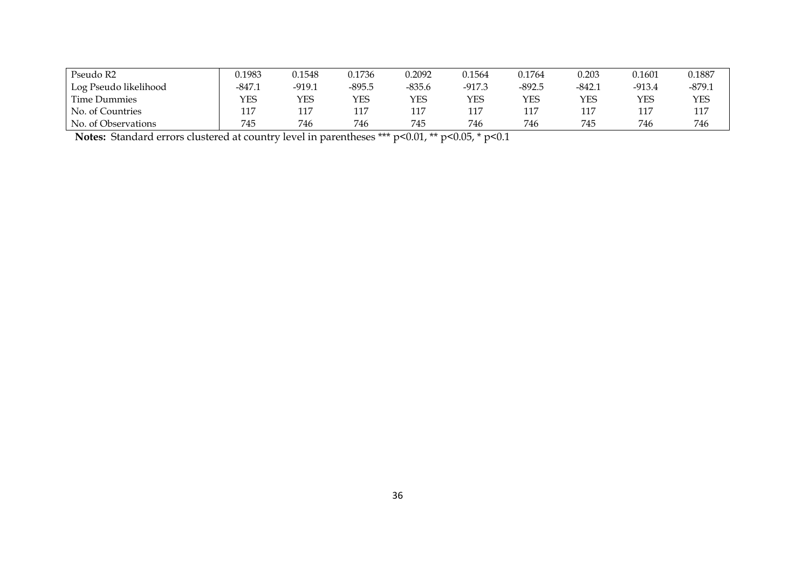| Pseudo R2             | 0.1983   | 0.1548   | 0.1736   | 0.2092   | 0.1564   | 0.1764   | 0.203    | 0.1601 | 0.1887   |
|-----------------------|----------|----------|----------|----------|----------|----------|----------|--------|----------|
| Log Pseudo likelihood | $-847.1$ | $-919.1$ | $-895.5$ | $-835.6$ | $-917.3$ | $-892.5$ | $-842.1$ | -913.4 | $-879.1$ |
| Time Dummies          | YES      | YES      | YES      | YES      | YES      | YES      | YES      | YES    | YES      |
| No. of Countries      | 117      | 117      | 117      | 117      | 117      | 117      | 117      | 117    | 117      |
| No. of Observations   | 745      | 746      | 746      | 745      | 746      | 746      | 745      | 746    | 746      |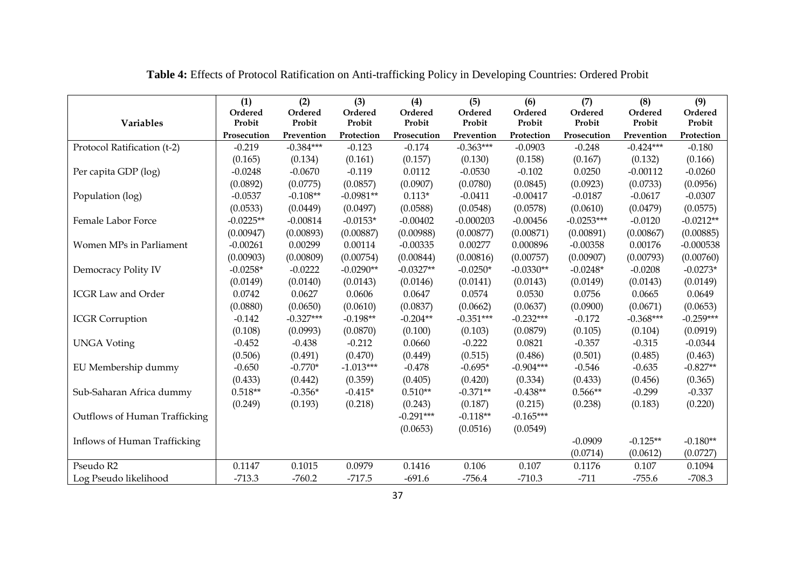|                               | (1)<br>Ordered        | (2)<br>Ordered       | (3)<br>Ordered       | (4)<br>Ordered        | (5)<br>Ordered       | (6)<br>Ordered       | (7)<br>Ordered        | (8)<br>Ordered       | (9)<br>Ordered       |
|-------------------------------|-----------------------|----------------------|----------------------|-----------------------|----------------------|----------------------|-----------------------|----------------------|----------------------|
| <b>Variables</b>              | Probit<br>Prosecution | Probit<br>Prevention | Probit<br>Protection | Probit<br>Prosecution | Probit<br>Prevention | Probit<br>Protection | Probit<br>Prosecution | Probit<br>Prevention | Probit<br>Protection |
| Protocol Ratification (t-2)   | $-0.219$              | $-0.384***$          | $-0.123$             | $-0.174$              | $-0.363***$          | $-0.0903$            | $-0.248$              | $-0.424***$          | $-0.180$             |
|                               | (0.165)               | (0.134)              | (0.161)              | (0.157)               | (0.130)              | (0.158)              | (0.167)               | (0.132)              | (0.166)              |
| Per capita GDP (log)          | $-0.0248$             | $-0.0670$            | $-0.119$             | 0.0112                | $-0.0530$            | $-0.102$             | 0.0250                | $-0.00112$           | $-0.0260$            |
|                               | (0.0892)              | (0.0775)             | (0.0857)             | (0.0907)              | (0.0780)             | (0.0845)             | (0.0923)              | (0.0733)             | (0.0956)             |
| Population (log)              | $-0.0537$             | $-0.108**$           | $-0.0981**$          | $0.113*$              | $-0.0411$            | $-0.00417$           | $-0.0187$             | $-0.0617$            | $-0.0307$            |
|                               | (0.0533)              | (0.0449)             | (0.0497)             | (0.0588)              | (0.0548)             | (0.0578)             | (0.0610)              | (0.0479)             | (0.0575)             |
| Female Labor Force            | $-0.0225**$           | $-0.00814$           | $-0.0153*$           | $-0.00402$            | $-0.000203$          | $-0.00456$           | $-0.0253***$          | $-0.0120$            | $-0.0212**$          |
|                               | (0.00947)             | (0.00893)            | (0.00887)            | (0.00988)             | (0.00877)            | (0.00871)            | (0.00891)             | (0.00867)            | (0.00885)            |
| Women MPs in Parliament       | $-0.00261$            | 0.00299              | 0.00114              | $-0.00335$            | 0.00277              | 0.000896             | $-0.00358$            | 0.00176              | $-0.000538$          |
|                               | (0.00903)             | (0.00809)            | (0.00754)            | (0.00844)             | (0.00816)            | (0.00757)            | (0.00907)             | (0.00793)            | (0.00760)            |
| Democracy Polity IV           | $-0.0258*$            | $-0.0222$            | $-0.0290**$          | $-0.0327**$           | $-0.0250*$           | $-0.0330**$          | $-0.0248*$            | $-0.0208$            | $-0.0273*$           |
|                               | (0.0149)              | (0.0140)             | (0.0143)             | (0.0146)              | (0.0141)             | (0.0143)             | (0.0149)              | (0.0143)             | (0.0149)             |
| <b>ICGR Law and Order</b>     | 0.0742                | 0.0627               | 0.0606               | 0.0647                | 0.0574               | 0.0530               | 0.0756                | 0.0665               | 0.0649               |
|                               | (0.0880)              | (0.0650)             | (0.0610)             | (0.0837)              | (0.0662)             | (0.0637)             | (0.0900)              | (0.0671)             | (0.0653)             |
| <b>ICGR</b> Corruption        | $-0.142$              | $-0.327***$          | $-0.198**$           | $-0.204**$            | $-0.351***$          | $-0.232***$          | $-0.172$              | $-0.368***$          | $-0.259***$          |
|                               | (0.108)               | (0.0993)             | (0.0870)             | (0.100)               | (0.103)              | (0.0879)             | (0.105)               | (0.104)              | (0.0919)             |
| <b>UNGA Voting</b>            | $-0.452$              | $-0.438$             | $-0.212$             | 0.0660                | $-0.222$             | 0.0821               | $-0.357$              | $-0.315$             | $-0.0344$            |
|                               | (0.506)               | (0.491)              | (0.470)              | (0.449)               | (0.515)              | (0.486)              | (0.501)               | (0.485)              | (0.463)              |
| EU Membership dummy           | $-0.650$              | $-0.770*$            | $-1.013***$          | $-0.478$              | $-0.695*$            | $-0.904***$          | $-0.546$              | $-0.635$             | $-0.827**$           |
|                               | (0.433)               | (0.442)              | (0.359)              | (0.405)               | (0.420)              | (0.334)              | (0.433)               | (0.456)              | (0.365)              |
| Sub-Saharan Africa dummy      | $0.518**$             | $-0.356*$            | $-0.415*$            | $0.510**$             | $-0.371**$           | $-0.438**$           | $0.566**$             | $-0.299$             | $-0.337$             |
|                               | (0.249)               | (0.193)              | (0.218)              | (0.243)               | (0.187)              | (0.215)              | (0.238)               | (0.183)              | (0.220)              |
| Outflows of Human Trafficking |                       |                      |                      | $-0.291***$           | $-0.118**$           | $-0.165***$          |                       |                      |                      |
|                               |                       |                      |                      | (0.0653)              | (0.0516)             | (0.0549)             |                       |                      |                      |
| Inflows of Human Trafficking  |                       |                      |                      |                       |                      |                      | $-0.0909$             | $-0.125**$           | $-0.180**$           |
|                               |                       |                      |                      |                       |                      |                      | (0.0714)              | (0.0612)             | (0.0727)             |
| Pseudo R2                     | 0.1147                | 0.1015               | 0.0979               | 0.1416                | 0.106                | 0.107                | 0.1176                | 0.107                | 0.1094               |
| Log Pseudo likelihood         | $-713.3$              | $-760.2$             | $-717.5$             | $-691.6$              | $-756.4$             | $-710.3$             | $-711$                | $-755.6$             | $-708.3$             |

**Table 4:** Effects of Protocol Ratification on Anti-trafficking Policy in Developing Countries: Ordered Probit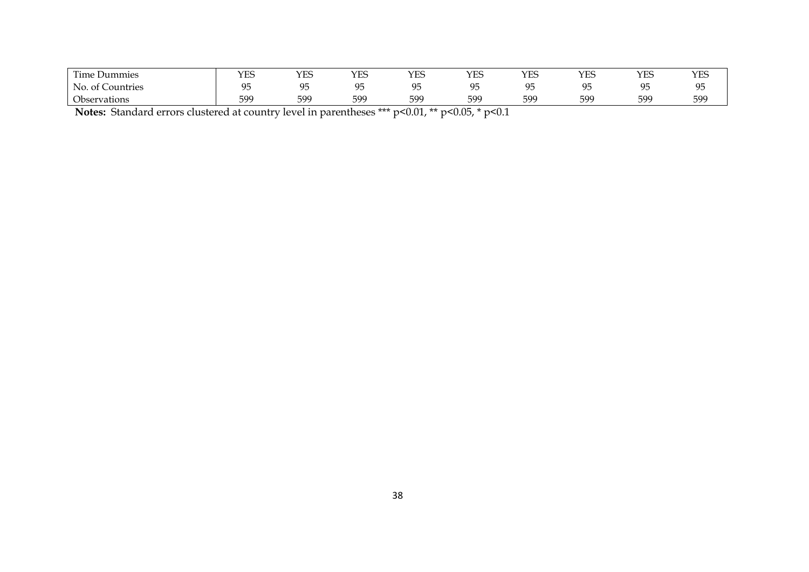| $\sim$<br>Time Dummies    | $\sqrt{10}$<br>ح نظ له | $\sqrt{2}$<br>⊥ட | $\sqrt{2}$<br>ن نا | VFS<br>ح نظام | $\sqrt{2}$<br>Y ES     | $\sqrt{2}$<br>Y ES | $\sqrt{2}$<br>ح نا 1 | YES             | VFG<br>ن نا |
|---------------------------|------------------------|------------------|--------------------|---------------|------------------------|--------------------|----------------------|-----------------|-------------|
| . Countries<br>NΟ<br>. of | ∩−                     | ΩE               | $\sim$ $\sim$      | $\sim$ $\sim$ | $\sim$ $=$<br>u∗<br>ノー |                    | $\sim$ $\sim$        | ∩⊾<br><b>∼</b>  | ΩĘ<br>ノン    |
| $\sim$<br>Observations    | 599<br>ンノン             | 599              | 599                | 599           | 599                    | 599                | 599                  | 59 <sup>c</sup> | 599         |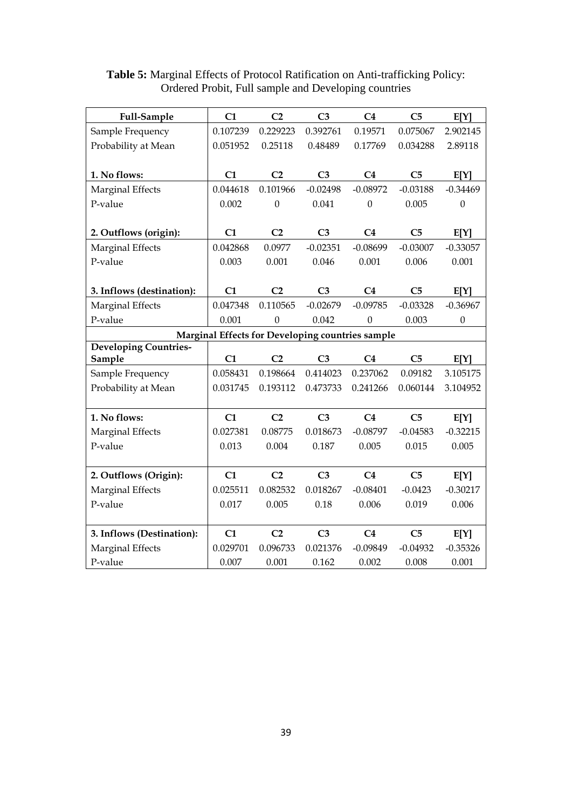| Full-Sample                  | C1                                               | C <sub>2</sub>   | C <sub>3</sub> | C <sub>4</sub> | C <sub>5</sub> | E[Y]             |
|------------------------------|--------------------------------------------------|------------------|----------------|----------------|----------------|------------------|
| Sample Frequency             | 0.107239                                         | 0.229223         | 0.392761       | 0.19571        | 0.075067       | 2.902145         |
| Probability at Mean          | 0.051952                                         | 0.25118          | 0.48489        | 0.17769        | 0.034288       | 2.89118          |
|                              |                                                  |                  |                |                |                |                  |
| 1. No flows:                 | C1                                               | C <sub>2</sub>   | C <sub>3</sub> | C <sub>4</sub> | C <sub>5</sub> | E[Y]             |
| Marginal Effects             | 0.044618                                         | 0.101966         | $-0.02498$     | $-0.08972$     | $-0.03188$     | $-0.34469$       |
| P-value                      | 0.002                                            | $\mathbf{0}$     | 0.041          | $\mathbf{0}$   | 0.005          | $\boldsymbol{0}$ |
|                              |                                                  |                  |                |                |                |                  |
| 2. Outflows (origin):        | C1                                               | C <sub>2</sub>   | C <sub>3</sub> | C <sub>4</sub> | C <sub>5</sub> | E[Y]             |
| Marginal Effects             | 0.042868                                         | 0.0977           | $-0.02351$     | $-0.08699$     | $-0.03007$     | $-0.33057$       |
| P-value                      | 0.003                                            | 0.001            | 0.046          | 0.001          | 0.006          | 0.001            |
|                              |                                                  |                  |                |                |                |                  |
| 3. Inflows (destination):    | C1                                               | C <sub>2</sub>   | C <sub>3</sub> | C <sub>4</sub> | C <sub>5</sub> | E[Y]             |
| Marginal Effects             | 0.047348                                         | 0.110565         | $-0.02679$     | $-0.09785$     | $-0.03328$     | $-0.36967$       |
| P-value                      | 0.001                                            | $\boldsymbol{0}$ | 0.042          | $\mathbf{0}$   | 0.003          | $\boldsymbol{0}$ |
|                              | Marginal Effects for Developing countries sample |                  |                |                |                |                  |
| <b>Developing Countries-</b> |                                                  |                  |                |                |                |                  |
| Sample                       | C1                                               | C <sub>2</sub>   | C <sub>3</sub> | C <sub>4</sub> | C <sub>5</sub> | E[Y]             |
| Sample Frequency             | 0.058431                                         | 0.198664         | 0.414023       | 0.237062       | 0.09182        | 3.105175         |
| Probability at Mean          | 0.031745                                         | 0.193112         | 0.473733       | 0.241266       | 0.060144       | 3.104952         |
|                              |                                                  |                  |                |                |                |                  |
| 1. No flows:                 | C1                                               | C <sub>2</sub>   | C <sub>3</sub> | C <sub>4</sub> | C <sub>5</sub> | E[Y]             |
| Marginal Effects             | 0.027381                                         | 0.08775          | 0.018673       | $-0.08797$     | $-0.04583$     | $-0.32215$       |
| P-value                      | 0.013                                            | 0.004            | 0.187          | 0.005          | 0.015          | 0.005            |
|                              |                                                  |                  |                |                |                |                  |
| 2. Outflows (Origin):        | C1                                               | C <sub>2</sub>   | C <sub>3</sub> | C <sub>4</sub> | C <sub>5</sub> | E[Y]             |
| Marginal Effects             | 0.025511                                         | 0.082532         | 0.018267       | $-0.08401$     | $-0.0423$      | $-0.30217$       |
| P-value                      | 0.017                                            | 0.005            | 0.18           | 0.006          | 0.019          | 0.006            |
|                              |                                                  |                  |                |                |                |                  |
| 3. Inflows (Destination):    | C1                                               | C <sub>2</sub>   | C <sub>3</sub> | C <sub>4</sub> | C <sub>5</sub> | E[Y]             |
| Marginal Effects             | 0.029701                                         | 0.096733         | 0.021376       | $-0.09849$     | $-0.04932$     | $-0.35326$       |
| P-value                      | 0.007                                            | 0.001            | 0.162          | 0.002          | 0.008          | 0.001            |

### **Table 5:** Marginal Effects of Protocol Ratification on Anti-trafficking Policy: Ordered Probit, Full sample and Developing countries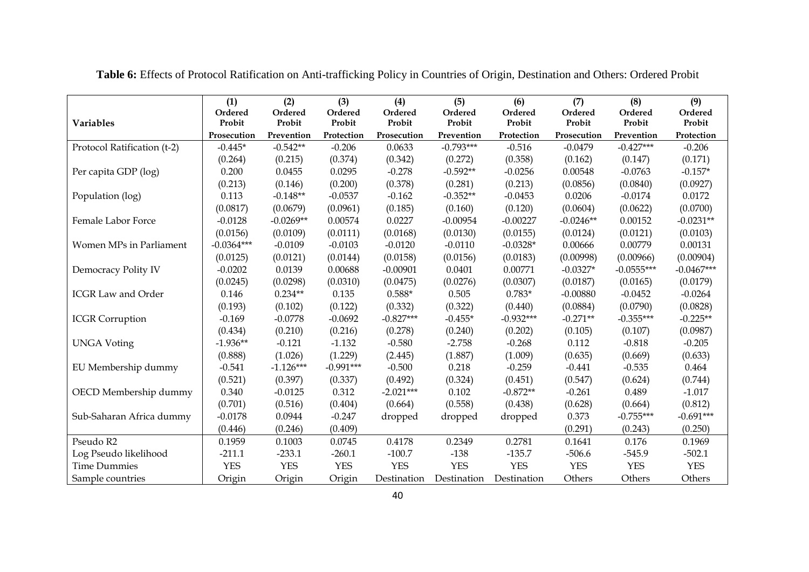|                             | (1)<br>Ordered | (2)<br>Ordered | (3)<br>Ordered | (4)<br>Ordered | (5)<br>Ordered | (6)<br>Ordered | (7)<br>Ordered | (8)<br>Ordered | (9)<br>Ordered |
|-----------------------------|----------------|----------------|----------------|----------------|----------------|----------------|----------------|----------------|----------------|
| <b>Variables</b>            | Probit         | Probit         | Probit         | Probit         | Probit         | Probit         | Probit         | Probit         | Probit         |
|                             | Prosecution    | Prevention     | Protection     | Prosecution    | Prevention     | Protection     | Prosecution    | Prevention     | Protection     |
| Protocol Ratification (t-2) | $-0.445*$      | $-0.542**$     | $-0.206$       | 0.0633         | $-0.793***$    | $-0.516$       | $-0.0479$      | $-0.427***$    | $-0.206$       |
|                             | (0.264)        | (0.215)        | (0.374)        | (0.342)        | (0.272)        | (0.358)        | (0.162)        | (0.147)        | (0.171)        |
| Per capita GDP (log)        | 0.200          | 0.0455         | 0.0295         | $-0.278$       | $-0.592**$     | $-0.0256$      | 0.00548        | $-0.0763$      | $-0.157*$      |
|                             | (0.213)        | (0.146)        | (0.200)        | (0.378)        | (0.281)        | (0.213)        | (0.0856)       | (0.0840)       | (0.0927)       |
| Population (log)            | 0.113          | $-0.148**$     | $-0.0537$      | $-0.162$       | $-0.352**$     | $-0.0453$      | 0.0206         | $-0.0174$      | 0.0172         |
|                             | (0.0817)       | (0.0679)       | (0.0961)       | (0.185)        | (0.160)        | (0.120)        | (0.0604)       | (0.0622)       | (0.0700)       |
| Female Labor Force          | $-0.0128$      | $-0.0269**$    | 0.00574        | 0.0227         | $-0.00954$     | $-0.00227$     | $-0.0246**$    | 0.00152        | $-0.0231**$    |
|                             | (0.0156)       | (0.0109)       | (0.0111)       | (0.0168)       | (0.0130)       | (0.0155)       | (0.0124)       | (0.0121)       | (0.0103)       |
| Women MPs in Parliament     | $-0.0364***$   | $-0.0109$      | $-0.0103$      | $-0.0120$      | $-0.0110$      | $-0.0328*$     | 0.00666        | 0.00779        | 0.00131        |
|                             | (0.0125)       | (0.0121)       | (0.0144)       | (0.0158)       | (0.0156)       | (0.0183)       | (0.00998)      | (0.00966)      | (0.00904)      |
| Democracy Polity IV         | $-0.0202$      | 0.0139         | 0.00688        | $-0.00901$     | 0.0401         | 0.00771        | $-0.0327*$     | $-0.0555***$   | $-0.0467***$   |
|                             | (0.0245)       | (0.0298)       | (0.0310)       | (0.0475)       | (0.0276)       | (0.0307)       | (0.0187)       | (0.0165)       | (0.0179)       |
| <b>ICGR Law and Order</b>   | 0.146          | $0.234**$      | 0.135          | $0.588*$       | 0.505          | $0.783*$       | $-0.00880$     | $-0.0452$      | $-0.0264$      |
|                             | (0.193)        | (0.102)        | (0.122)        | (0.332)        | (0.322)        | (0.440)        | (0.0884)       | (0.0790)       | (0.0828)       |
| <b>ICGR</b> Corruption      | $-0.169$       | $-0.0778$      | $-0.0692$      | $-0.827***$    | $-0.455*$      | $-0.932***$    | $-0.271**$     | $-0.355***$    | $-0.225**$     |
|                             | (0.434)        | (0.210)        | (0.216)        | (0.278)        | (0.240)        | (0.202)        | (0.105)        | (0.107)        | (0.0987)       |
| <b>UNGA Voting</b>          | $-1.936**$     | $-0.121$       | $-1.132$       | $-0.580$       | $-2.758$       | $-0.268$       | 0.112          | $-0.818$       | $-0.205$       |
|                             | (0.888)        | (1.026)        | (1.229)        | (2.445)        | (1.887)        | (1.009)        | (0.635)        | (0.669)        | (0.633)        |
| EU Membership dummy         | $-0.541$       | $-1.126***$    | $-0.991***$    | $-0.500$       | 0.218          | $-0.259$       | $-0.441$       | $-0.535$       | 0.464          |
|                             | (0.521)        | (0.397)        | (0.337)        | (0.492)        | (0.324)        | (0.451)        | (0.547)        | (0.624)        | (0.744)        |
| OECD Membership dummy       | 0.340          | $-0.0125$      | 0.312          | $-2.021***$    | 0.102          | $-0.872**$     | $-0.261$       | 0.489          | $-1.017$       |
|                             | (0.701)        | (0.516)        | (0.404)        | (0.664)        | (0.558)        | (0.438)        | (0.628)        | (0.664)        | (0.812)        |
| Sub-Saharan Africa dummy    | $-0.0178$      | 0.0944         | $-0.247$       | dropped        | dropped        | dropped        | 0.373          | $-0.755***$    | $-0.691***$    |
|                             | (0.446)        | (0.246)        | (0.409)        |                |                |                | (0.291)        | (0.243)        | (0.250)        |
| Pseudo R2                   | 0.1959         | 0.1003         | 0.0745         | 0.4178         | 0.2349         | 0.2781         | 0.1641         | 0.176          | 0.1969         |
| Log Pseudo likelihood       | $-211.1$       | $-233.1$       | $-260.1$       | $-100.7$       | $-138$         | $-135.7$       | $-506.6$       | $-545.9$       | $-502.1$       |
| <b>Time Dummies</b>         | <b>YES</b>     | <b>YES</b>     | <b>YES</b>     | <b>YES</b>     | <b>YES</b>     | <b>YES</b>     | <b>YES</b>     | <b>YES</b>     | <b>YES</b>     |
| Sample countries            | Origin         | Origin         | Origin         | Destination    | Destination    | Destination    | Others         | Others         | Others         |

**Table 6:** Effects of Protocol Ratification on Anti-trafficking Policy in Countries of Origin, Destination and Others: Ordered Probit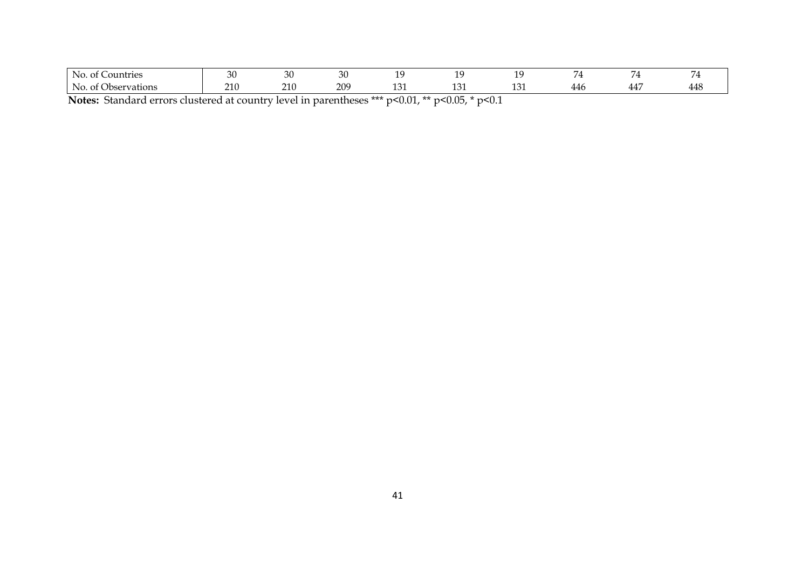| Countries<br>IN O                                    | 30                            | nη<br>.JU | ٦ſ<br>$\overline{\phantom{a}}$ |        |                 |               | $\overline{\phantom{0}}$ | -       |   |
|------------------------------------------------------|-------------------------------|-----------|--------------------------------|--------|-----------------|---------------|--------------------------|---------|---|
| bservations<br>$\cap$ t ( $\ldots$<br>IN C<br>VIDSEL | 21 <sub>1</sub><br><u>_ _</u> | 210       | 20 <sup>c</sup>                | $\sim$ | 10 <sub>2</sub> | $\sim$<br>ᆂᇦᆂ | 44 C                     | 44<br>. | ᅩ |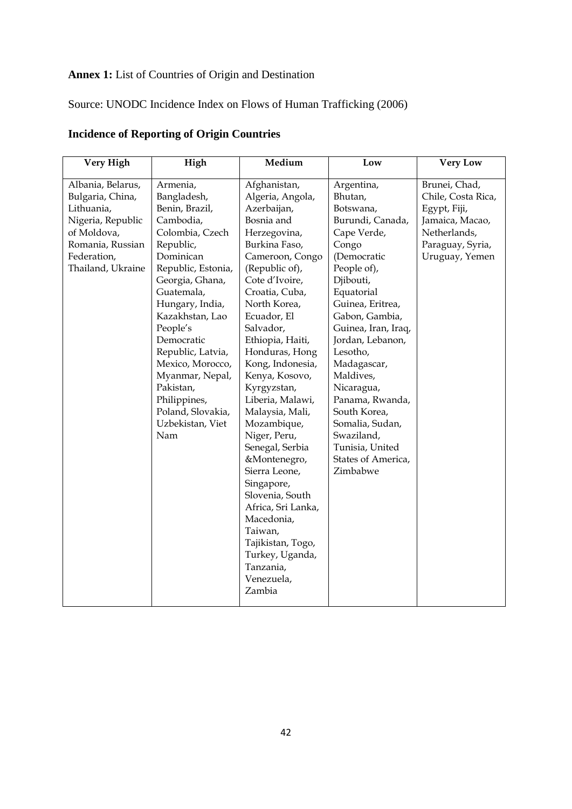# **Annex 1:** List of Countries of Origin and Destination

# Source: UNODC Incidence Index on Flows of Human Trafficking (2006)

| Very High         | High               | Medium             | Low                 | <b>Very Low</b>    |
|-------------------|--------------------|--------------------|---------------------|--------------------|
| Albania, Belarus, | Armenia,           | Afghanistan,       | Argentina,          | Brunei, Chad,      |
| Bulgaria, China,  | Bangladesh,        | Algeria, Angola,   | Bhutan,             | Chile, Costa Rica, |
| Lithuania,        | Benin, Brazil,     | Azerbaijan,        | Botswana,           | Egypt, Fiji,       |
| Nigeria, Republic | Cambodia,          | Bosnia and         | Burundi, Canada,    | Jamaica, Macao,    |
| of Moldova,       | Colombia, Czech    | Herzegovina,       | Cape Verde,         | Netherlands,       |
| Romania, Russian  | Republic,          | Burkina Faso,      | Congo               | Paraguay, Syria,   |
| Federation,       | Dominican          | Cameroon, Congo    | (Democratic         | Uruguay, Yemen     |
| Thailand, Ukraine | Republic, Estonia, | (Republic of),     | People of),         |                    |
|                   | Georgia, Ghana,    | Cote d'Ivoire,     | Djibouti,           |                    |
|                   | Guatemala,         | Croatia, Cuba,     | Equatorial          |                    |
|                   | Hungary, India,    | North Korea,       | Guinea, Eritrea,    |                    |
|                   | Kazakhstan, Lao    | Ecuador, El        | Gabon, Gambia,      |                    |
|                   | People's           | Salvador,          | Guinea, Iran, Iraq, |                    |
|                   | Democratic         | Ethiopia, Haiti,   | Jordan, Lebanon,    |                    |
|                   | Republic, Latvia,  | Honduras, Hong     | Lesotho,            |                    |
|                   | Mexico, Morocco,   | Kong, Indonesia,   | Madagascar,         |                    |
|                   | Myanmar, Nepal,    | Kenya, Kosovo,     | Maldives,           |                    |
|                   | Pakistan,          | Kyrgyzstan,        | Nicaragua,          |                    |
|                   | Philippines,       | Liberia, Malawi,   | Panama, Rwanda,     |                    |
|                   | Poland, Slovakia,  | Malaysia, Mali,    | South Korea,        |                    |
|                   | Uzbekistan, Viet   | Mozambique,        | Somalia, Sudan,     |                    |
|                   | Nam                | Niger, Peru,       | Swaziland,          |                    |
|                   |                    | Senegal, Serbia    | Tunisia, United     |                    |
|                   |                    | &Montenegro,       | States of America,  |                    |
|                   |                    | Sierra Leone,      | Zimbabwe            |                    |
|                   |                    | Singapore,         |                     |                    |
|                   |                    | Slovenia, South    |                     |                    |
|                   |                    | Africa, Sri Lanka, |                     |                    |
|                   |                    | Macedonia,         |                     |                    |
|                   |                    | Taiwan,            |                     |                    |
|                   |                    | Tajikistan, Togo,  |                     |                    |
|                   |                    | Turkey, Uganda,    |                     |                    |
|                   |                    | Tanzania,          |                     |                    |
|                   |                    | Venezuela,         |                     |                    |
|                   |                    | Zambia             |                     |                    |
|                   |                    |                    |                     |                    |

# **Incidence of Reporting of Origin Countries**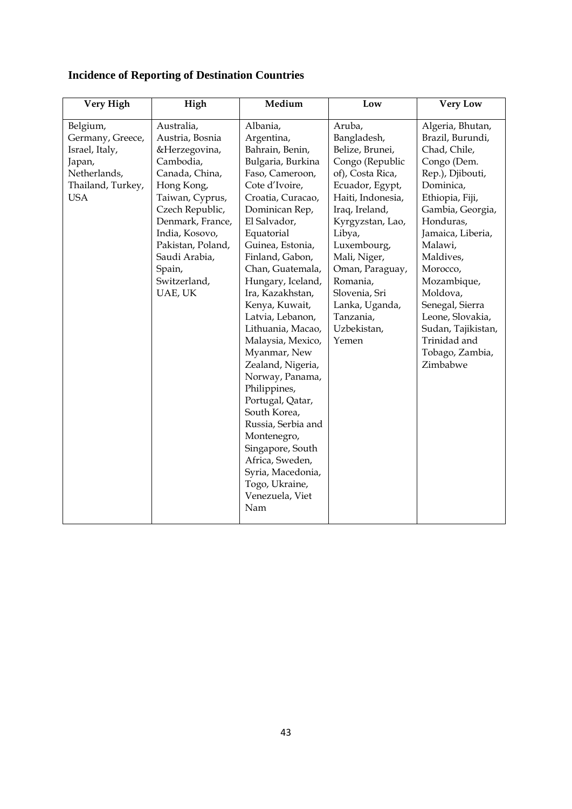| Australia,<br>Belgium,<br>Albania,<br>Aruba,<br>Bangladesh,<br>Germany, Greece,<br>Austria, Bosnia<br>Argentina,<br>Belize, Brunei,<br>&Herzegovina,<br>Bahrain, Benin,<br>Israel, Italy,<br>Bulgaria, Burkina<br>Congo (Republic<br>Cambodia,<br>Japan,<br>Netherlands,<br>Canada, China,<br>of), Costa Rica,<br>Faso, Cameroon,<br>Cote d'Ivoire,<br>Thailand, Turkey,<br>Hong Kong,<br>Ecuador, Egypt,<br><b>USA</b><br>Haiti, Indonesia,<br>Taiwan, Cyprus,<br>Croatia, Curacao,<br>Czech Republic,<br>Dominican Rep,<br>Iraq, Ireland,<br>Denmark, France,<br>El Salvador,<br>Kyrgyzstan, Lao,<br>India, Kosovo,<br>Equatorial<br>Libya,<br>Pakistan, Poland,<br>Guinea, Estonia,<br>Luxembourg,<br>Saudi Arabia,<br>Finland, Gabon,<br>Mali, Niger,<br>Spain,<br>Chan, Guatemala,<br>Oman, Paraguay,<br>Switzerland,<br>Romania,<br>Hungary, Iceland,<br>UAE, UK<br>Slovenia, Sri<br>Ira, Kazakhstan,<br>Kenya, Kuwait,<br>Lanka, Uganda,<br>Tanzania,<br>Latvia, Lebanon, | <b>Very High</b> | <b>Very Low</b>                                                                                                                                                                                                                                                                                                                                          |
|----------------------------------------------------------------------------------------------------------------------------------------------------------------------------------------------------------------------------------------------------------------------------------------------------------------------------------------------------------------------------------------------------------------------------------------------------------------------------------------------------------------------------------------------------------------------------------------------------------------------------------------------------------------------------------------------------------------------------------------------------------------------------------------------------------------------------------------------------------------------------------------------------------------------------------------------------------------------------------|------------------|----------------------------------------------------------------------------------------------------------------------------------------------------------------------------------------------------------------------------------------------------------------------------------------------------------------------------------------------------------|
| Uzbekistan,<br>Lithuania, Macao,<br>Yemen<br>Malaysia, Mexico,<br>Myanmar, New<br>Zealand, Nigeria,<br>Norway, Panama,<br>Philippines,<br>Portugal, Qatar,<br>South Korea,<br>Russia, Serbia and<br>Montenegro,<br>Singapore, South<br>Africa, Sweden,<br>Syria, Macedonia,<br>Togo, Ukraine,<br>Venezuela, Viet<br>Nam                                                                                                                                                                                                                                                                                                                                                                                                                                                                                                                                                                                                                                                          |                  | Algeria, Bhutan,<br>Brazil, Burundi,<br>Chad, Chile,<br>Congo (Dem.<br>Rep.), Djibouti,<br>Dominica,<br>Ethiopia, Fiji,<br>Gambia, Georgia,<br>Honduras,<br>Jamaica, Liberia,<br>Malawi,<br>Maldives,<br>Morocco,<br>Mozambique,<br>Moldova,<br>Senegal, Sierra<br>Leone, Slovakia,<br>Sudan, Tajikistan,<br>Trinidad and<br>Tobago, Zambia,<br>Zimbabwe |

# **Incidence of Reporting of Destination Countries**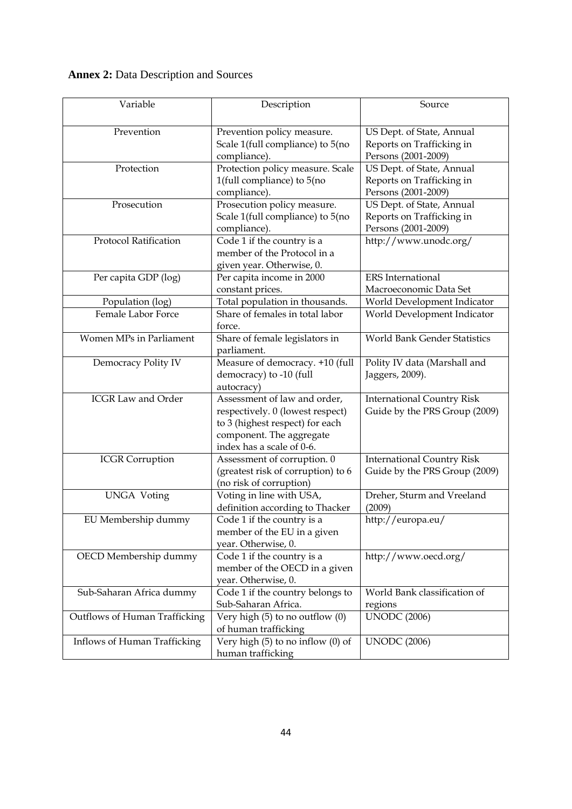| <b>Annex 2: Data Description and Sources</b> |  |
|----------------------------------------------|--|
|----------------------------------------------|--|

| Variable                      | Description                                                                                                                                                  | Source                                                                        |
|-------------------------------|--------------------------------------------------------------------------------------------------------------------------------------------------------------|-------------------------------------------------------------------------------|
| Prevention                    | Prevention policy measure.<br>Scale 1(full compliance) to 5(no<br>compliance).                                                                               | US Dept. of State, Annual<br>Reports on Trafficking in<br>Persons (2001-2009) |
| Protection                    | Protection policy measure. Scale<br>1(full compliance) to 5(no<br>compliance).                                                                               | US Dept. of State, Annual<br>Reports on Trafficking in<br>Persons (2001-2009) |
| Prosecution                   | Prosecution policy measure.<br>Scale 1(full compliance) to 5(no<br>compliance).                                                                              | US Dept. of State, Annual<br>Reports on Trafficking in<br>Persons (2001-2009) |
| Protocol Ratification         | Code 1 if the country is a<br>member of the Protocol in a<br>given year. Otherwise, 0.                                                                       | http://www.unodc.org/                                                         |
| Per capita GDP (log)          | Per capita income in 2000<br>constant prices.                                                                                                                | <b>ERS</b> International<br>Macroeconomic Data Set                            |
| Population (log)              | Total population in thousands.                                                                                                                               | World Development Indicator                                                   |
| Female Labor Force            | Share of females in total labor<br>force.                                                                                                                    | World Development Indicator                                                   |
| Women MPs in Parliament       | Share of female legislators in<br>parliament.                                                                                                                | World Bank Gender Statistics                                                  |
| Democracy Polity IV           | Measure of democracy. +10 (full<br>democracy) to -10 (full<br>autocracy)                                                                                     | Polity IV data (Marshall and<br>Jaggers, 2009).                               |
| <b>ICGR Law and Order</b>     | Assessment of law and order,<br>respectively. 0 (lowest respect)<br>to 3 (highest respect) for each<br>component. The aggregate<br>index has a scale of 0-6. | <b>International Country Risk</b><br>Guide by the PRS Group (2009)            |
| <b>ICGR</b> Corruption        | Assessment of corruption. 0<br>(greatest risk of corruption) to 6<br>(no risk of corruption)                                                                 | <b>International Country Risk</b><br>Guide by the PRS Group (2009)            |
| <b>UNGA Voting</b>            | Voting in line with USA,<br>definition according to Thacker                                                                                                  | Dreher, Sturm and Vreeland<br>(2009)                                          |
| EU Membership dummy           | Code 1 if the country is a<br>member of the EU in a given<br>year. Otherwise, 0.                                                                             | http://europa.eu/                                                             |
| OECD Membership dummy         | Code 1 if the country is a<br>member of the OECD in a given<br>year. Otherwise, 0.                                                                           | http://www.oecd.org/                                                          |
| Sub-Saharan Africa dummy      | Code 1 if the country belongs to<br>Sub-Saharan Africa.                                                                                                      | World Bank classification of<br>regions                                       |
| Outflows of Human Trafficking | Very high (5) to no outflow (0)<br>of human trafficking                                                                                                      | <b>UNODC</b> (2006)                                                           |
| Inflows of Human Trafficking  | Very high $(5)$ to no inflow $(0)$ of<br>human trafficking                                                                                                   | <b>UNODC</b> (2006)                                                           |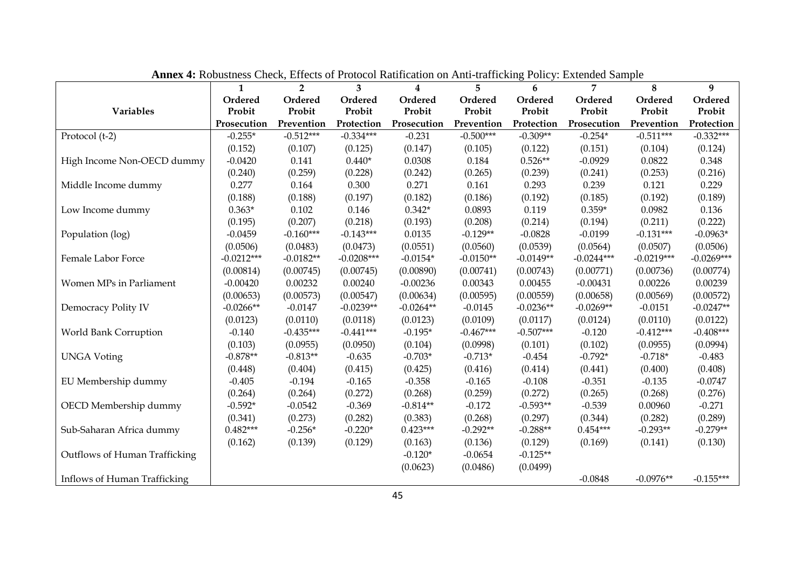|                               | THING TO ROOMSHIPS CHUR, ENTURE OF FLOWING RUNDELION ON THEI HUNDRING I ONCY. EXECUTIVE DUMPTU<br>$\mathbf{1}$ | $\overline{2}$ | 3            | $\overline{\mathbf{4}}$ | $5^{\circ}$ | 6           | 7            | 8            | 9            |
|-------------------------------|----------------------------------------------------------------------------------------------------------------|----------------|--------------|-------------------------|-------------|-------------|--------------|--------------|--------------|
|                               | Ordered                                                                                                        | Ordered        | Ordered      | Ordered                 | Ordered     | Ordered     | Ordered      | Ordered      | Ordered      |
| Variables                     | Probit                                                                                                         | Probit         | Probit       | Probit                  | Probit      | Probit      | Probit       | Probit       | Probit       |
|                               | Prosecution                                                                                                    | Prevention     | Protection   | Prosecution             | Prevention  | Protection  | Prosecution  | Prevention   | Protection   |
| Protocol (t-2)                | $-0.255*$                                                                                                      | $-0.512***$    | $-0.334***$  | $-0.231$                | $-0.500***$ | $-0.309**$  | $-0.254*$    | $-0.511***$  | $-0.332***$  |
|                               | (0.152)                                                                                                        | (0.107)        | (0.125)      | (0.147)                 | (0.105)     | (0.122)     | (0.151)      | (0.104)      | (0.124)      |
| High Income Non-OECD dummy    | $-0.0420$                                                                                                      | 0.141          | $0.440*$     | 0.0308                  | 0.184       | $0.526**$   | $-0.0929$    | 0.0822       | 0.348        |
|                               | (0.240)                                                                                                        | (0.259)        | (0.228)      | (0.242)                 | (0.265)     | (0.239)     | (0.241)      | (0.253)      | (0.216)      |
| Middle Income dummy           | 0.277                                                                                                          | 0.164          | 0.300        | 0.271                   | 0.161       | 0.293       | 0.239        | 0.121        | 0.229        |
|                               | (0.188)                                                                                                        | (0.188)        | (0.197)      | (0.182)                 | (0.186)     | (0.192)     | (0.185)      | (0.192)      | (0.189)      |
| Low Income dummy              | $0.363*$                                                                                                       | 0.102          | 0.146        | $0.342*$                | 0.0893      | 0.119       | $0.359*$     | 0.0982       | 0.136        |
|                               | (0.195)                                                                                                        | (0.207)        | (0.218)      | (0.193)                 | (0.208)     | (0.214)     | (0.194)      | (0.211)      | (0.222)      |
| Population (log)              | $-0.0459$                                                                                                      | $-0.160***$    | $-0.143***$  | 0.0135                  | $-0.129**$  | $-0.0828$   | $-0.0199$    | $-0.131***$  | $-0.0963*$   |
|                               | (0.0506)                                                                                                       | (0.0483)       | (0.0473)     | (0.0551)                | (0.0560)    | (0.0539)    | (0.0564)     | (0.0507)     | (0.0506)     |
| Female Labor Force            | $-0.0212***$                                                                                                   | $-0.0182**$    | $-0.0208***$ | $-0.0154*$              | $-0.0150**$ | $-0.0149**$ | $-0.0244***$ | $-0.0219***$ | $-0.0269***$ |
|                               | (0.00814)                                                                                                      | (0.00745)      | (0.00745)    | (0.00890)               | (0.00741)   | (0.00743)   | (0.00771)    | (0.00736)    | (0.00774)    |
| Women MPs in Parliament       | $-0.00420$                                                                                                     | 0.00232        | 0.00240      | $-0.00236$              | 0.00343     | 0.00455     | $-0.00431$   | 0.00226      | 0.00239      |
|                               | (0.00653)                                                                                                      | (0.00573)      | (0.00547)    | (0.00634)               | (0.00595)   | (0.00559)   | (0.00658)    | (0.00569)    | (0.00572)    |
| Democracy Polity IV           | $-0.0266**$                                                                                                    | $-0.0147$      | $-0.0239**$  | $-0.0264**$             | $-0.0145$   | $-0.0236**$ | $-0.0269**$  | $-0.0151$    | $-0.0247**$  |
|                               | (0.0123)                                                                                                       | (0.0110)       | (0.0118)     | (0.0123)                | (0.0109)    | (0.0117)    | (0.0124)     | (0.0110)     | (0.0122)     |
| World Bank Corruption         | $-0.140$                                                                                                       | $-0.435***$    | $-0.441***$  | $-0.195*$               | $-0.467***$ | $-0.507***$ | $-0.120$     | $-0.412***$  | $-0.408***$  |
|                               | (0.103)                                                                                                        | (0.0955)       | (0.0950)     | (0.104)                 | (0.0998)    | (0.101)     | (0.102)      | (0.0955)     | (0.0994)     |
| <b>UNGA Voting</b>            | $-0.878**$                                                                                                     | $-0.813**$     | $-0.635$     | $-0.703*$               | $-0.713*$   | $-0.454$    | $-0.792*$    | $-0.718*$    | $-0.483$     |
|                               | (0.448)                                                                                                        | (0.404)        | (0.415)      | (0.425)                 | (0.416)     | (0.414)     | (0.441)      | (0.400)      | (0.408)      |
| EU Membership dummy           | $-0.405$                                                                                                       | $-0.194$       | $-0.165$     | $-0.358$                | $-0.165$    | $-0.108$    | $-0.351$     | $-0.135$     | $-0.0747$    |
|                               | (0.264)                                                                                                        | (0.264)        | (0.272)      | (0.268)                 | (0.259)     | (0.272)     | (0.265)      | (0.268)      | (0.276)      |
| OECD Membership dummy         | $-0.592*$                                                                                                      | $-0.0542$      | $-0.369$     | $-0.814**$              | $-0.172$    | $-0.593**$  | $-0.539$     | 0.00960      | $-0.271$     |
|                               | (0.341)                                                                                                        | (0.273)        | (0.282)      | (0.383)                 | (0.268)     | (0.297)     | (0.344)      | (0.282)      | (0.289)      |
| Sub-Saharan Africa dummy      | $0.482***$                                                                                                     | $-0.256*$      | $-0.220*$    | $0.423***$              | $-0.292**$  | $-0.288**$  | $0.454***$   | $-0.293**$   | $-0.279**$   |
|                               | (0.162)                                                                                                        | (0.139)        | (0.129)      | (0.163)                 | (0.136)     | (0.129)     | (0.169)      | (0.141)      | (0.130)      |
| Outflows of Human Trafficking |                                                                                                                |                |              | $-0.120*$               | $-0.0654$   | $-0.125**$  |              |              |              |
|                               |                                                                                                                |                |              | (0.0623)                | (0.0486)    | (0.0499)    |              |              |              |
| Inflows of Human Trafficking  |                                                                                                                |                |              |                         |             |             | $-0.0848$    | $-0.0976**$  | $-0.155***$  |

**Annex 4:** Robustness Check, Effects of Protocol Ratification on Anti-trafficking Policy: Extended Sample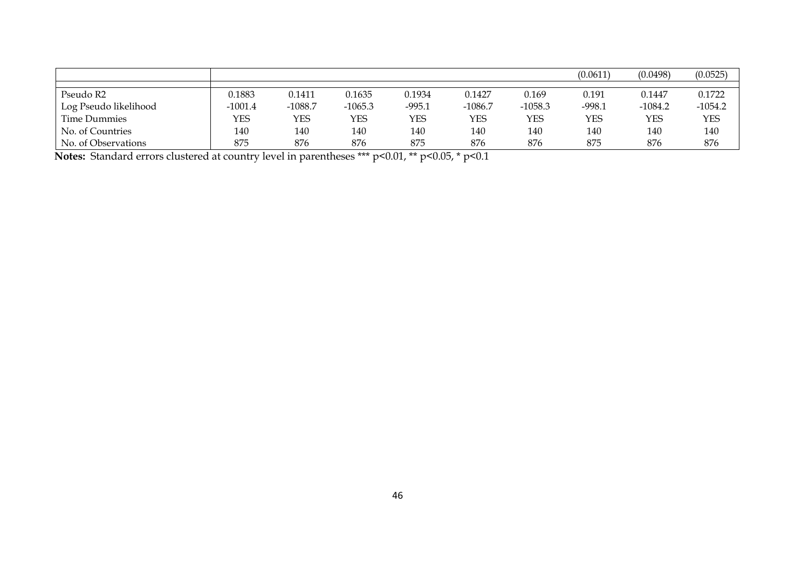|                       |           |            |           |          |           |           | (0.0611)   | (0.0498)  | (0.0525)   |
|-----------------------|-----------|------------|-----------|----------|-----------|-----------|------------|-----------|------------|
|                       |           |            |           |          |           |           |            |           |            |
| Pseudo R2             | 0.1883    | 0.1411     | 0.1635    | 0.1934   | 0.1427    | 0.169     | 0.191      | 0.1447    | 0.1722     |
| Log Pseudo likelihood | $-1001.4$ | $-1088.7$  | $-1065.3$ | $-995.1$ | $-1086.7$ | $-1058.3$ | $-998.1$   | $-1084.2$ | $-1054.2$  |
| Time Dummies          | YES       | <b>YES</b> | YES       | YES      | YES       | YES       | <b>YES</b> | YES       | <b>YES</b> |
| No. of Countries      | 140       | 140        | 140       | 140      | 140       | 140       | 140        | 140       | 140        |
| No. of Observations   | 875       | 876        | 876       | 875      | 876       | 876       | 875        | 876       | 876        |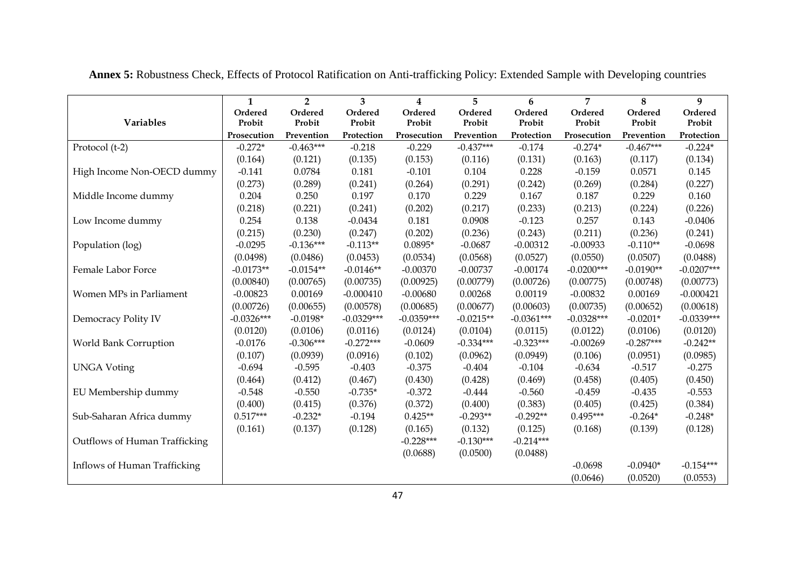|                               | 1            | $\overline{2}$ | 3            | 4            | 5           | 6            | 7            | 8           | 9            |
|-------------------------------|--------------|----------------|--------------|--------------|-------------|--------------|--------------|-------------|--------------|
|                               | Ordered      | Ordered        | Ordered      | Ordered      | Ordered     | Ordered      | Ordered      | Ordered     | Ordered      |
| Variables                     | Probit       | Probit         | Probit       | Probit       | Probit      | Probit       | Probit       | Probit      | Probit       |
|                               | Prosecution  | Prevention     | Protection   | Prosecution  | Prevention  | Protection   | Prosecution  | Prevention  | Protection   |
| Protocol (t-2)                | $-0.272*$    | $-0.463***$    | $-0.218$     | $-0.229$     | $-0.437***$ | $-0.174$     | $-0.274*$    | $-0.467***$ | $-0.224*$    |
|                               | (0.164)      | (0.121)        | (0.135)      | (0.153)      | (0.116)     | (0.131)      | (0.163)      | (0.117)     | (0.134)      |
| High Income Non-OECD dummy    | $-0.141$     | 0.0784         | 0.181        | $-0.101$     | 0.104       | 0.228        | $-0.159$     | 0.0571      | 0.145        |
|                               | (0.273)      | (0.289)        | (0.241)      | (0.264)      | (0.291)     | (0.242)      | (0.269)      | (0.284)     | (0.227)      |
| Middle Income dummy           | 0.204        | 0.250          | 0.197        | 0.170        | 0.229       | 0.167        | 0.187        | 0.229       | 0.160        |
|                               | (0.218)      | (0.221)        | (0.241)      | (0.202)      | (0.217)     | (0.233)      | (0.213)      | (0.224)     | (0.226)      |
| Low Income dummy              | 0.254        | 0.138          | $-0.0434$    | 0.181        | 0.0908      | $-0.123$     | 0.257        | 0.143       | $-0.0406$    |
|                               | (0.215)      | (0.230)        | (0.247)      | (0.202)      | (0.236)     | (0.243)      | (0.211)      | (0.236)     | (0.241)      |
| Population (log)              | $-0.0295$    | $-0.136***$    | $-0.113**$   | $0.0895*$    | $-0.0687$   | $-0.00312$   | $-0.00933$   | $-0.110**$  | $-0.0698$    |
|                               | (0.0498)     | (0.0486)       | (0.0453)     | (0.0534)     | (0.0568)    | (0.0527)     | (0.0550)     | (0.0507)    | (0.0488)     |
| Female Labor Force            | $-0.0173**$  | $-0.0154**$    | $-0.0146**$  | $-0.00370$   | $-0.00737$  | $-0.00174$   | $-0.0200***$ | $-0.0190**$ | $-0.0207***$ |
|                               | (0.00840)    | (0.00765)      | (0.00735)    | (0.00925)    | (0.00779)   | (0.00726)    | (0.00775)    | (0.00748)   | (0.00773)    |
| Women MPs in Parliament       | $-0.00823$   | 0.00169        | $-0.000410$  | $-0.00680$   | 0.00268     | 0.00119      | $-0.00832$   | 0.00169     | $-0.000421$  |
|                               | (0.00726)    | (0.00655)      | (0.00578)    | (0.00685)    | (0.00677)   | (0.00603)    | (0.00735)    | (0.00652)   | (0.00618)    |
| Democracy Polity IV           | $-0.0326***$ | $-0.0198*$     | $-0.0329***$ | $-0.0359***$ | $-0.0215**$ | $-0.0361***$ | $-0.0328***$ | $-0.0201*$  | $-0.0339***$ |
|                               | (0.0120)     | (0.0106)       | (0.0116)     | (0.0124)     | (0.0104)    | (0.0115)     | (0.0122)     | (0.0106)    | (0.0120)     |
| World Bank Corruption         | $-0.0176$    | $-0.306***$    | $-0.272***$  | $-0.0609$    | $-0.334***$ | $-0.323***$  | $-0.00269$   | $-0.287***$ | $-0.242**$   |
|                               | (0.107)      | (0.0939)       | (0.0916)     | (0.102)      | (0.0962)    | (0.0949)     | (0.106)      | (0.0951)    | (0.0985)     |
| <b>UNGA Voting</b>            | $-0.694$     | $-0.595$       | $-0.403$     | $-0.375$     | $-0.404$    | $-0.104$     | $-0.634$     | $-0.517$    | $-0.275$     |
|                               | (0.464)      | (0.412)        | (0.467)      | (0.430)      | (0.428)     | (0.469)      | (0.458)      | (0.405)     | (0.450)      |
| EU Membership dummy           | $-0.548$     | $-0.550$       | $-0.735*$    | $-0.372$     | $-0.444$    | $-0.560$     | $-0.459$     | $-0.435$    | $-0.553$     |
|                               | (0.400)      | (0.415)        | (0.376)      | (0.372)      | (0.400)     | (0.383)      | (0.405)      | (0.425)     | (0.384)      |
| Sub-Saharan Africa dummy      | $0.517***$   | $-0.232*$      | $-0.194$     | $0.425**$    | $-0.293**$  | $-0.292**$   | $0.495***$   | $-0.264*$   | $-0.248*$    |
|                               | (0.161)      | (0.137)        | (0.128)      | (0.165)      | (0.132)     | (0.125)      | (0.168)      | (0.139)     | (0.128)      |
| Outflows of Human Trafficking |              |                |              | $-0.228***$  | $-0.130***$ | $-0.214***$  |              |             |              |
|                               |              |                |              | (0.0688)     | (0.0500)    | (0.0488)     |              |             |              |
| Inflows of Human Trafficking  |              |                |              |              |             |              | $-0.0698$    | $-0.0940*$  | $-0.154***$  |
|                               |              |                |              |              |             |              | (0.0646)     | (0.0520)    | (0.0553)     |

**Annex 5:** Robustness Check, Effects of Protocol Ratification on Anti-trafficking Policy: Extended Sample with Developing countries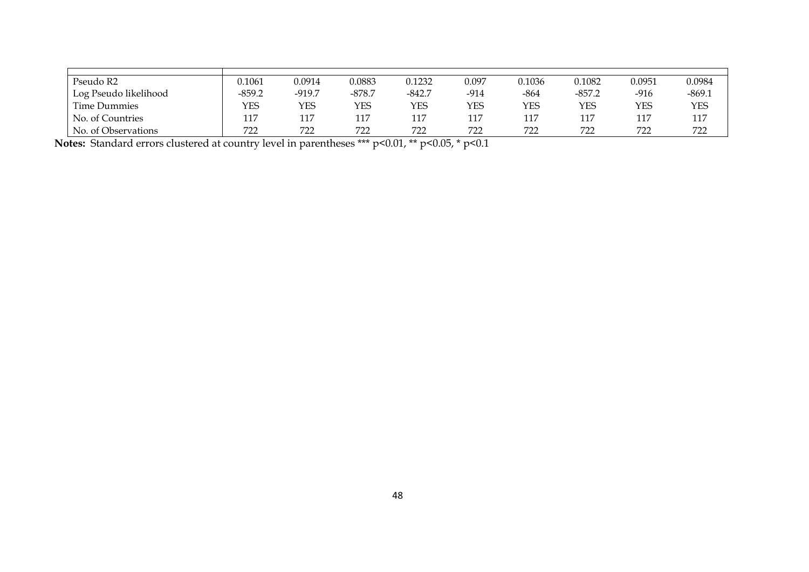| Pseudo R2                          | 0.1061   | 0.0914   | 0.0883   | 0.1232     | 0.097      | 0.1036 | 0.1082   | 0.0951 | 0.0984     |
|------------------------------------|----------|----------|----------|------------|------------|--------|----------|--------|------------|
| <sup>1</sup> Log Pseudo likelihood | $-859.2$ | $-919.7$ | $-878.7$ | $-842.7$   | $-914$     | $-864$ | $-857.2$ | $-916$ | $-869.1$   |
| Time Dummies                       | YES      | YES      | YES      | <b>YES</b> | <b>YES</b> | YES    | YES      | YES    | <b>YES</b> |
| No. of Countries                   | 117      | 117      | 117      | 117        | 117        | 117    |          | 117    | 117        |
| No. of Observations                | 722      | 722      | 722      | 722        | 722        | 722    | 722      | 722    | 722        |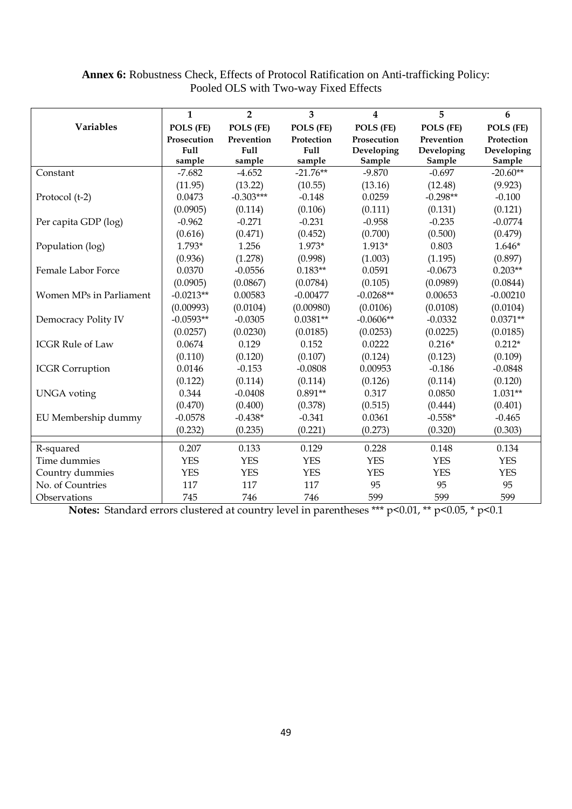|                         | $\mathbf{1}$                         | $\overline{2}$               | 3                                   | 4                                   | 5                                  | 6                                  |
|-------------------------|--------------------------------------|------------------------------|-------------------------------------|-------------------------------------|------------------------------------|------------------------------------|
| <b>Variables</b>        | POLS (FE)                            | POLS (FE)                    | POLS (FE)                           | POLS (FE)                           | POLS (FE)                          | POLS (FE)                          |
|                         | Prosecution<br><b>Full</b><br>sample | Prevention<br>Full<br>sample | Protection<br><b>Full</b><br>sample | Prosecution<br>Developing<br>Sample | Prevention<br>Developing<br>Sample | Protection<br>Developing<br>Sample |
| Constant                | $-7.682$                             | $-4.652$                     | $-21.76**$                          | $-9.870$                            | $-0.697$                           | $-20.60**$                         |
|                         | (11.95)                              | (13.22)                      | (10.55)                             | (13.16)                             | (12.48)                            | (9.923)                            |
| Protocol (t-2)          | 0.0473                               | $-0.303***$                  | $-0.148$                            | 0.0259                              | $-0.298**$                         | $-0.100$                           |
|                         | (0.0905)                             | (0.114)                      | (0.106)                             | (0.111)                             | (0.131)                            | (0.121)                            |
| Per capita GDP (log)    | $-0.962$                             | $-0.271$                     | $-0.231$                            | $-0.958$                            | $-0.235$                           | $-0.0774$                          |
|                         | (0.616)                              | (0.471)                      | (0.452)                             | (0.700)                             | (0.500)                            | (0.479)                            |
| Population (log)        | 1.793*                               | 1.256                        | 1.973*                              | $1.913*$                            | 0.803                              | $1.646*$                           |
|                         | (0.936)                              | (1.278)                      | (0.998)                             | (1.003)                             | (1.195)                            | (0.897)                            |
| Female Labor Force      | 0.0370                               | $-0.0556$                    | $0.183**$                           | 0.0591                              | $-0.0673$                          | $0.203**$                          |
|                         | (0.0905)                             | (0.0867)                     | (0.0784)                            | (0.105)                             | (0.0989)                           | (0.0844)                           |
| Women MPs in Parliament | $-0.0213**$                          | 0.00583                      | $-0.00477$                          | $-0.0268**$                         | 0.00653                            | $-0.00210$                         |
|                         | (0.00993)                            | (0.0104)                     | (0.00980)                           | (0.0106)                            | (0.0108)                           | (0.0104)                           |
| Democracy Polity IV     | $-0.0593**$                          | $-0.0305$                    | $0.0381**$                          | $-0.0606**$                         | $-0.0332$                          | $0.0371**$                         |
|                         | (0.0257)                             | (0.0230)                     | (0.0185)                            | (0.0253)                            | (0.0225)                           | (0.0185)                           |
| <b>ICGR Rule of Law</b> | 0.0674                               | 0.129                        | 0.152                               | 0.0222                              | $0.216*$                           | $0.212*$                           |
|                         | (0.110)                              | (0.120)                      | (0.107)                             | (0.124)                             | (0.123)                            | (0.109)                            |
| <b>ICGR</b> Corruption  | 0.0146                               | $-0.153$                     | $-0.0808$                           | 0.00953                             | $-0.186$                           | $-0.0848$                          |
|                         | (0.122)                              | (0.114)                      | (0.114)                             | (0.126)                             | (0.114)                            | (0.120)                            |
| <b>UNGA</b> voting      | 0.344                                | $-0.0408$                    | $0.891**$                           | 0.317                               | 0.0850                             | $1.031**$                          |
|                         | (0.470)                              | (0.400)                      | (0.378)                             | (0.515)                             | (0.444)                            | (0.401)                            |
| EU Membership dummy     | $-0.0578$                            | $-0.438*$                    | $-0.341$                            | 0.0361                              | $-0.558*$                          | $-0.465$                           |
|                         | (0.232)                              | (0.235)                      | (0.221)                             | (0.273)                             | (0.320)                            | (0.303)                            |
| R-squared               | 0.207                                | 0.133                        | 0.129                               | 0.228                               | 0.148                              | 0.134                              |
| Time dummies            | <b>YES</b>                           | <b>YES</b>                   | <b>YES</b>                          | <b>YES</b>                          | <b>YES</b>                         | <b>YES</b>                         |
| Country dummies         | <b>YES</b>                           | <b>YES</b>                   | <b>YES</b>                          | <b>YES</b>                          | <b>YES</b>                         | <b>YES</b>                         |
| No. of Countries        | 117                                  | 117                          | 117                                 | 95                                  | 95                                 | 95                                 |
| Observations            | 745                                  | 746                          | 746                                 | 599                                 | 599                                | 599                                |

### **Annex 6:** Robustness Check, Effects of Protocol Ratification on Anti-trafficking Policy: Pooled OLS with Two-way Fixed Effects